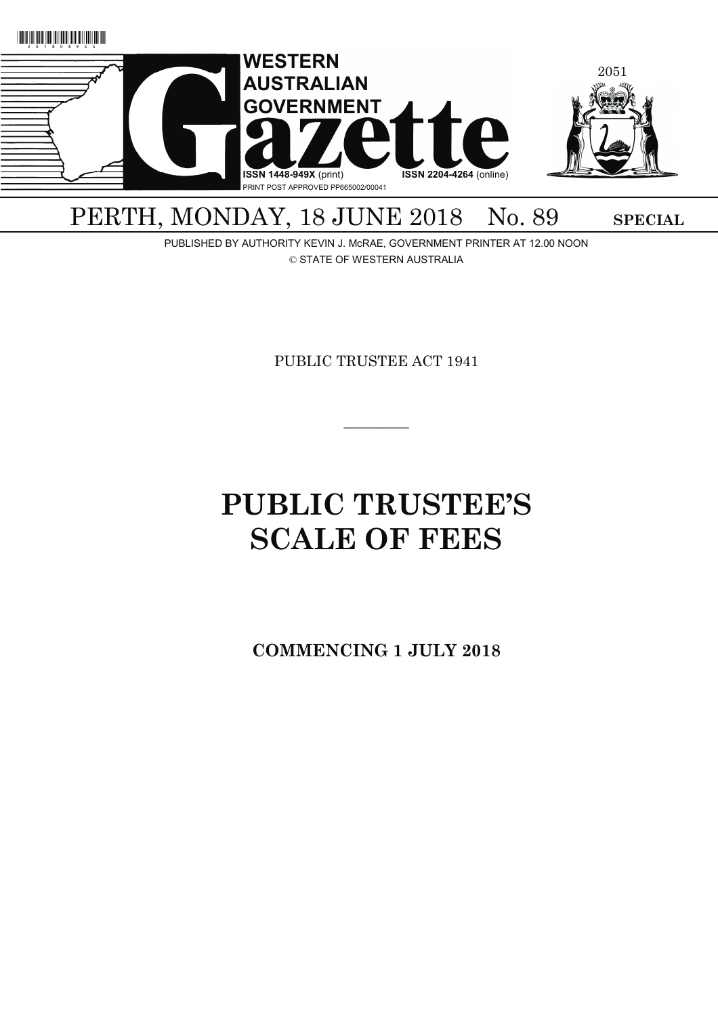

# PERTH, MONDAY, 18 JUNE 2018 No. 89 SPECIAL

PUBLISHED BY AUTHORITY KEVIN J. McRAE, GOVERNMENT PRINTER AT 12.00 NOON © STATE OF WESTERN AUSTRALIA

PUBLIC TRUSTEE ACT 1941

 $\overline{\phantom{a}}$   $\overline{\phantom{a}}$ 

# **PUBLIC TRUSTEE'S SCALE OF FEES**

**COMMENCING 1 JULY 2018**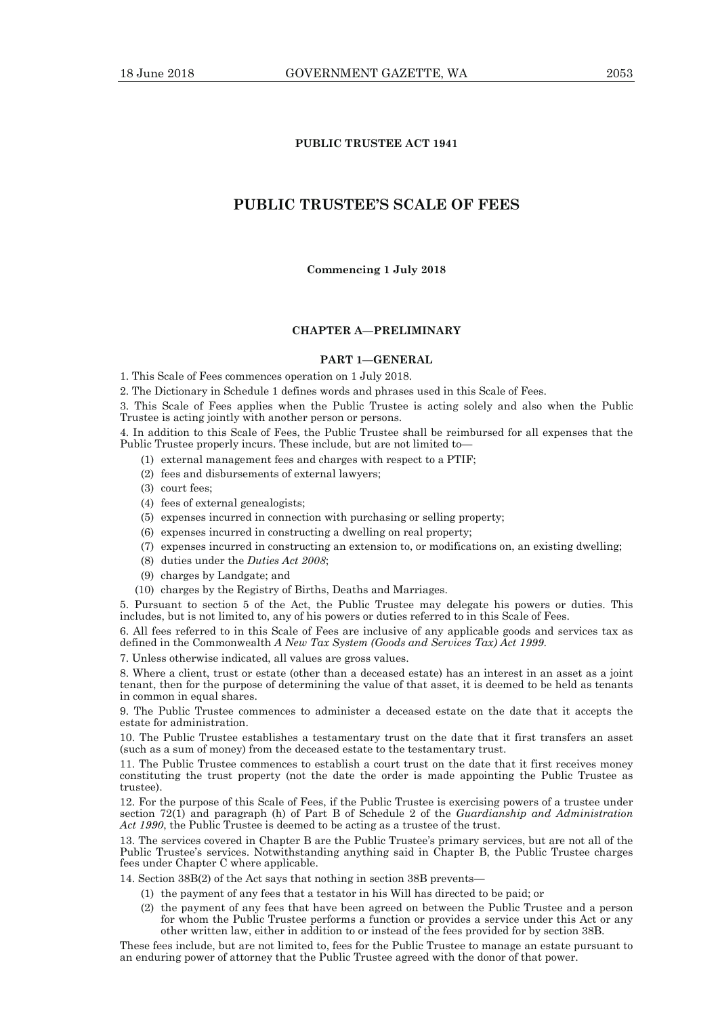#### **PUBLIC TRUSTEE ACT 1941**

#### **PUBLIC TRUSTEE'S SCALE OF FEES**

**Commencing 1 July 2018** 

#### **CHAPTER A—PRELIMINARY**

#### **PART 1—GENERAL**

1. This Scale of Fees commences operation on 1 July 2018.

2. The Dictionary in Schedule 1 defines words and phrases used in this Scale of Fees.

3. This Scale of Fees applies when the Public Trustee is acting solely and also when the Public Trustee is acting jointly with another person or persons.

4. In addition to this Scale of Fees, the Public Trustee shall be reimbursed for all expenses that the Public Trustee properly incurs. These include, but are not limited to—

- (1) external management fees and charges with respect to a PTIF;
- (2) fees and disbursements of external lawyers;
- (3) court fees;
- (4) fees of external genealogists;
- (5) expenses incurred in connection with purchasing or selling property;
- (6) expenses incurred in constructing a dwelling on real property;
- (7) expenses incurred in constructing an extension to, or modifications on, an existing dwelling;
- (8) duties under the *Duties Act 2008*;
- (9) charges by Landgate; and
- (10) charges by the Registry of Births, Deaths and Marriages.

5. Pursuant to section 5 of the Act, the Public Trustee may delegate his powers or duties. This includes, but is not limited to, any of his powers or duties referred to in this Scale of Fees.

6. All fees referred to in this Scale of Fees are inclusive of any applicable goods and services tax as defined in the Commonwealth *A New Tax System (Goods and Services Tax) Act 1999*.

7. Unless otherwise indicated, all values are gross values.

8. Where a client, trust or estate (other than a deceased estate) has an interest in an asset as a joint tenant, then for the purpose of determining the value of that asset, it is deemed to be held as tenants in common in equal shares.

9. The Public Trustee commences to administer a deceased estate on the date that it accepts the estate for administration.

10. The Public Trustee establishes a testamentary trust on the date that it first transfers an asset (such as a sum of money) from the deceased estate to the testamentary trust.

11. The Public Trustee commences to establish a court trust on the date that it first receives money constituting the trust property (not the date the order is made appointing the Public Trustee as trustee).

12. For the purpose of this Scale of Fees, if the Public Trustee is exercising powers of a trustee under section 72(1) and paragraph (h) of Part B of Schedule 2 of the *Guardianship and Administration*  Act 1990, the Public Trustee is deemed to be acting as a trustee of the trust.

13. The services covered in Chapter B are the Public Trustee's primary services, but are not all of the Public Trustee's services. Notwithstanding anything said in Chapter B, the Public Trustee charges fees under Chapter C where applicable.

14. Section 38B(2) of the Act says that nothing in section 38B prevents—

- (1) the payment of any fees that a testator in his Will has directed to be paid; or
- (2) the payment of any fees that have been agreed on between the Public Trustee and a person for whom the Public Trustee performs a function or provides a service under this Act or any other written law, either in addition to or instead of the fees provided for by section 38B.

These fees include, but are not limited to, fees for the Public Trustee to manage an estate pursuant to an enduring power of attorney that the Public Trustee agreed with the donor of that power.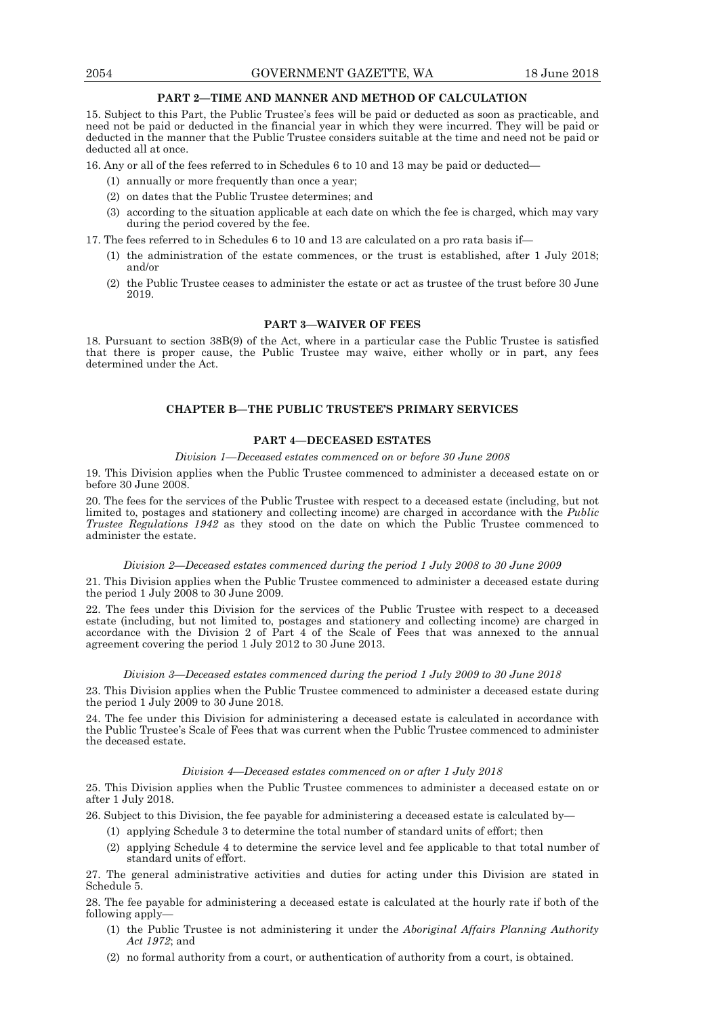#### **PART 2—TIME AND MANNER AND METHOD OF CALCULATION**

15. Subject to this Part, the Public Trustee's fees will be paid or deducted as soon as practicable, and need not be paid or deducted in the financial year in which they were incurred. They will be paid or deducted in the manner that the Public Trustee considers suitable at the time and need not be paid or deducted all at once.

16. Any or all of the fees referred to in Schedules 6 to 10 and 13 may be paid or deducted—

- (1) annually or more frequently than once a year;
- (2) on dates that the Public Trustee determines; and
- (3) according to the situation applicable at each date on which the fee is charged, which may vary during the period covered by the fee.

17. The fees referred to in Schedules 6 to 10 and 13 are calculated on a pro rata basis if—

- (1) the administration of the estate commences, or the trust is established, after 1 July 2018; and/or
- (2) the Public Trustee ceases to administer the estate or act as trustee of the trust before 30 June 2019.

#### **PART 3—WAIVER OF FEES**

18. Pursuant to section 38B(9) of the Act, where in a particular case the Public Trustee is satisfied that there is proper cause, the Public Trustee may waive, either wholly or in part, any fees determined under the Act.

#### **CHAPTER B—THE PUBLIC TRUSTEE'S PRIMARY SERVICES**

#### **PART 4—DECEASED ESTATES**

#### *Division 1—Deceased estates commenced on or before 30 June 2008*

19. This Division applies when the Public Trustee commenced to administer a deceased estate on or before 30 June 2008.

20. The fees for the services of the Public Trustee with respect to a deceased estate (including, but not limited to, postages and stationery and collecting income) are charged in accordance with the *Public Trustee Regulations 1942* as they stood on the date on which the Public Trustee commenced to administer the estate.

#### *Division 2—Deceased estates commenced during the period 1 July 2008 to 30 June 2009*

21. This Division applies when the Public Trustee commenced to administer a deceased estate during the period 1 July 2008 to 30 June 2009.

22. The fees under this Division for the services of the Public Trustee with respect to a deceased estate (including, but not limited to, postages and stationery and collecting income) are charged in accordance with the Division 2 of Part 4 of the Scale of Fees that was annexed to the annual agreement covering the period 1 July 2012 to 30 June 2013.

#### *Division 3—Deceased estates commenced during the period 1 July 2009 to 30 June 2018*

23. This Division applies when the Public Trustee commenced to administer a deceased estate during the period 1 July  $2009$  to 30 June 2018.

24. The fee under this Division for administering a deceased estate is calculated in accordance with the Public Trustee's Scale of Fees that was current when the Public Trustee commenced to administer the deceased estate.

#### *Division 4—Deceased estates commenced on or after 1 July 2018*

25. This Division applies when the Public Trustee commences to administer a deceased estate on or after 1 July 2018.

26. Subject to this Division, the fee payable for administering a deceased estate is calculated by—

- (1) applying Schedule 3 to determine the total number of standard units of effort; then
- (2) applying Schedule 4 to determine the service level and fee applicable to that total number of standard units of effort.

27. The general administrative activities and duties for acting under this Division are stated in Schedule 5.

28. The fee payable for administering a deceased estate is calculated at the hourly rate if both of the following apply—

- (1) the Public Trustee is not administering it under the *Aboriginal Affairs Planning Authority Act 1972*; and
- (2) no formal authority from a court, or authentication of authority from a court, is obtained.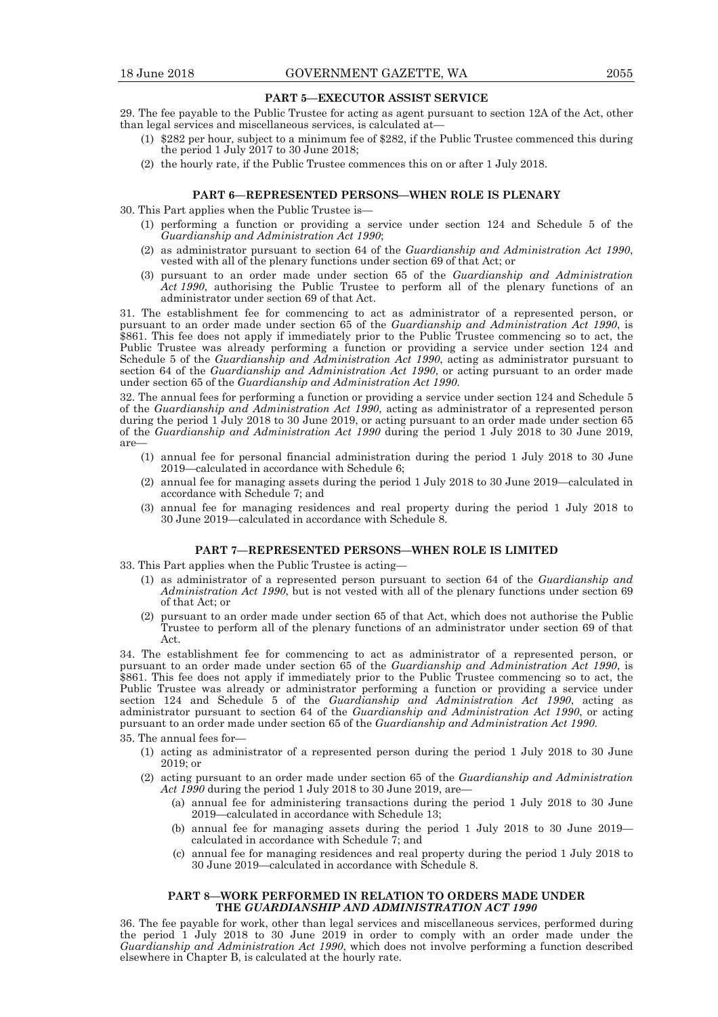#### **PART 5—EXECUTOR ASSIST SERVICE**

29. The fee payable to the Public Trustee for acting as agent pursuant to section 12A of the Act, other than legal services and miscellaneous services, is calculated at—

- (1) \$282 per hour, subject to a minimum fee of \$282, if the Public Trustee commenced this during the period 1 July 2017 to 30 June 2018;
- (2) the hourly rate, if the Public Trustee commences this on or after 1 July 2018.

#### **PART 6—REPRESENTED PERSONS—WHEN ROLE IS PLENARY**

30. This Part applies when the Public Trustee is—

- (1) performing a function or providing a service under section 124 and Schedule 5 of the *Guardianship and Administration Act 1990*;
- (2) as administrator pursuant to section 64 of the *Guardianship and Administration Act 1990*, vested with all of the plenary functions under section 69 of that Act; or
- (3) pursuant to an order made under section 65 of the *Guardianship and Administration Act 1990*, authorising the Public Trustee to perform all of the plenary functions of an administrator under section 69 of that Act.

31. The establishment fee for commencing to act as administrator of a represented person, or pursuant to an order made under section 65 of the *Guardianship and Administration Act 1990*, is \$861. This fee does not apply if immediately prior to the Public Trustee commencing so to act, the Public Trustee was already performing a function or providing a service under section 124 and Schedule 5 of the *Guardianship and Administration Act 1990*, acting as administrator pursuant to section 64 of the *Guardianship and Administration Act 1990*, or acting pursuant to an order made under section 65 of the *Guardianship and Administration Act 1990*.

32. The annual fees for performing a function or providing a service under section 124 and Schedule 5 of the *Guardianship and Administration Act 1990*, acting as administrator of a represented person during the period 1 July 2018 to 30 June 2019, or acting pursuant to an order made under section 65 of the *Guardianship and Administration Act 1990* during the period 1 July 2018 to 30 June 2019, are—

- (1) annual fee for personal financial administration during the period 1 July 2018 to 30 June 2019—calculated in accordance with Schedule 6;
- (2) annual fee for managing assets during the period 1 July 2018 to 30 June 2019—calculated in accordance with Schedule 7; and
- (3) annual fee for managing residences and real property during the period 1 July 2018 to 30 June 2019—calculated in accordance with Schedule 8.

#### **PART 7—REPRESENTED PERSONS—WHEN ROLE IS LIMITED**

- 33. This Part applies when the Public Trustee is acting—
	- (1) as administrator of a represented person pursuant to section 64 of the *Guardianship and Administration Act 1990*, but is not vested with all of the plenary functions under section 69 of that Act; or
- (2) pursuant to an order made under section 65 of that Act, which does not authorise the Public Trustee to perform all of the plenary functions of an administrator under section 69 of that Act.

34. The establishment fee for commencing to act as administrator of a represented person, or pursuant to an order made under section 65 of the *Guardianship and Administration Act 1990*, is \$861. This fee does not apply if immediately prior to the Public Trustee commencing so to act, the Public Trustee was already or administrator performing a function or providing a service under section 124 and Schedule 5 of the *Guardianship and Administration Act 1990*, acting as administrator pursuant to section 64 of the *Guardianship and Administration Act 1990*, or acting pursuant to an order made under section 65 of the *Guardianship and Administration Act 1990*.

35. The annual fees for—

- (1) acting as administrator of a represented person during the period 1 July 2018 to 30 June 2019; or
- (2) acting pursuant to an order made under section 65 of the *Guardianship and Administration Act 1990* during the period 1 July 2018 to 30 June 2019, are—
	- (a) annual fee for administering transactions during the period 1 July 2018 to 30 June 2019—calculated in accordance with Schedule 13;
	- (b) annual fee for managing assets during the period 1 July 2018 to 30 June 2019 calculated in accordance with Schedule 7; and
	- (c) annual fee for managing residences and real property during the period 1 July 2018 to 30 June 2019—calculated in accordance with Schedule 8.

#### **PART 8—WORK PERFORMED IN RELATION TO ORDERS MADE UNDER THE** *GUARDIANSHIP AND ADMINISTRATION ACT 1990*

36. The fee payable for work, other than legal services and miscellaneous services, performed during the period 1 July 2018 to 30 June 2019 in order to comply with an order made under the *Guardianship and Administration Act 1990*, which does not involve performing a function described elsewhere in Chapter B, is calculated at the hourly rate.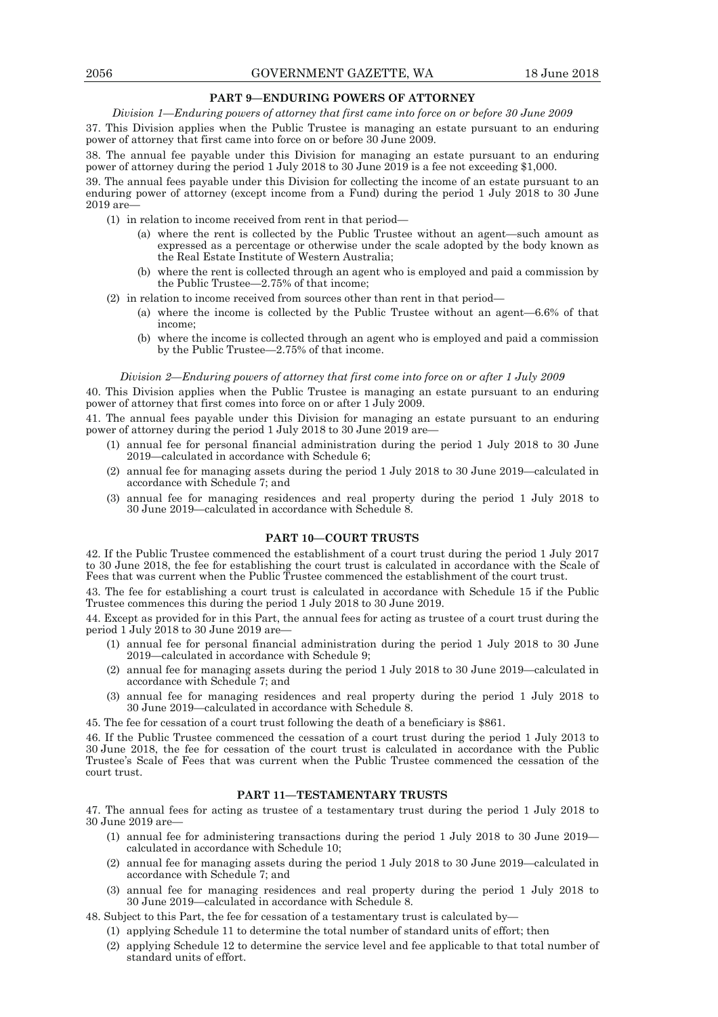#### **PART 9—ENDURING POWERS OF ATTORNEY**

*Division 1—Enduring powers of attorney that first came into force on or before 30 June 2009* 

37. This Division applies when the Public Trustee is managing an estate pursuant to an enduring power of attorney that first came into force on or before 30 June 2009.

38. The annual fee payable under this Division for managing an estate pursuant to an enduring power of attorney during the period 1 July 2018 to 30 June 2019 is a fee not exceeding \$1,000.

39. The annual fees payable under this Division for collecting the income of an estate pursuant to an enduring power of attorney (except income from a Fund) during the period 1 July 2018 to 30 June 2019 are—

- (1) in relation to income received from rent in that period—
	- (a) where the rent is collected by the Public Trustee without an agent—such amount as expressed as a percentage or otherwise under the scale adopted by the body known as the Real Estate Institute of Western Australia;
	- (b) where the rent is collected through an agent who is employed and paid a commission by the Public Trustee—2.75% of that income;
- (2) in relation to income received from sources other than rent in that period—
	- (a) where the income is collected by the Public Trustee without an agent—6.6% of that income;
	- (b) where the income is collected through an agent who is employed and paid a commission by the Public Trustee—2.75% of that income.

#### *Division 2—Enduring powers of attorney that first come into force on or after 1 July 2009*

40. This Division applies when the Public Trustee is managing an estate pursuant to an enduring power of attorney that first comes into force on or after 1 July 2009.

41. The annual fees payable under this Division for managing an estate pursuant to an enduring power of attorney during the period 1 July 2018 to 30 June 2019 are—

- (1) annual fee for personal financial administration during the period 1 July 2018 to 30 June 2019—calculated in accordance with Schedule 6;
- (2) annual fee for managing assets during the period 1 July 2018 to 30 June 2019—calculated in accordance with Schedule 7; and
- (3) annual fee for managing residences and real property during the period 1 July 2018 to 30 June 2019—calculated in accordance with Schedule 8.

#### **PART 10—COURT TRUSTS**

42. If the Public Trustee commenced the establishment of a court trust during the period 1 July 2017 to 30 June 2018, the fee for establishing the court trust is calculated in accordance with the Scale of Fees that was current when the Public Trustee commenced the establishment of the court trust.

43. The fee for establishing a court trust is calculated in accordance with Schedule 15 if the Public Trustee commences this during the period 1 July 2018 to 30 June 2019.

44. Except as provided for in this Part, the annual fees for acting as trustee of a court trust during the period 1 July 2018 to 30 June 2019 are—

- (1) annual fee for personal financial administration during the period 1 July 2018 to 30 June 2019—calculated in accordance with Schedule 9;
- (2) annual fee for managing assets during the period 1 July 2018 to 30 June 2019—calculated in accordance with Schedule 7; and
- (3) annual fee for managing residences and real property during the period 1 July 2018 to 30 June 2019—calculated in accordance with Schedule 8.
- 45. The fee for cessation of a court trust following the death of a beneficiary is \$861.

46. If the Public Trustee commenced the cessation of a court trust during the period 1 July 2013 to 30 June 2018, the fee for cessation of the court trust is calculated in accordance with the Public Trustee's Scale of Fees that was current when the Public Trustee commenced the cessation of the court trust.

#### **PART 11—TESTAMENTARY TRUSTS**

47. The annual fees for acting as trustee of a testamentary trust during the period 1 July 2018 to 30 June 2019 are—

- (1) annual fee for administering transactions during the period 1 July 2018 to 30 June 2019 calculated in accordance with Schedule 10;
- (2) annual fee for managing assets during the period 1 July 2018 to 30 June 2019—calculated in accordance with Schedule 7; and
- (3) annual fee for managing residences and real property during the period 1 July 2018 to 30 June 2019—calculated in accordance with Schedule 8.

48. Subject to this Part, the fee for cessation of a testamentary trust is calculated by—

- (1) applying Schedule 11 to determine the total number of standard units of effort; then
- (2) applying Schedule 12 to determine the service level and fee applicable to that total number of standard units of effort.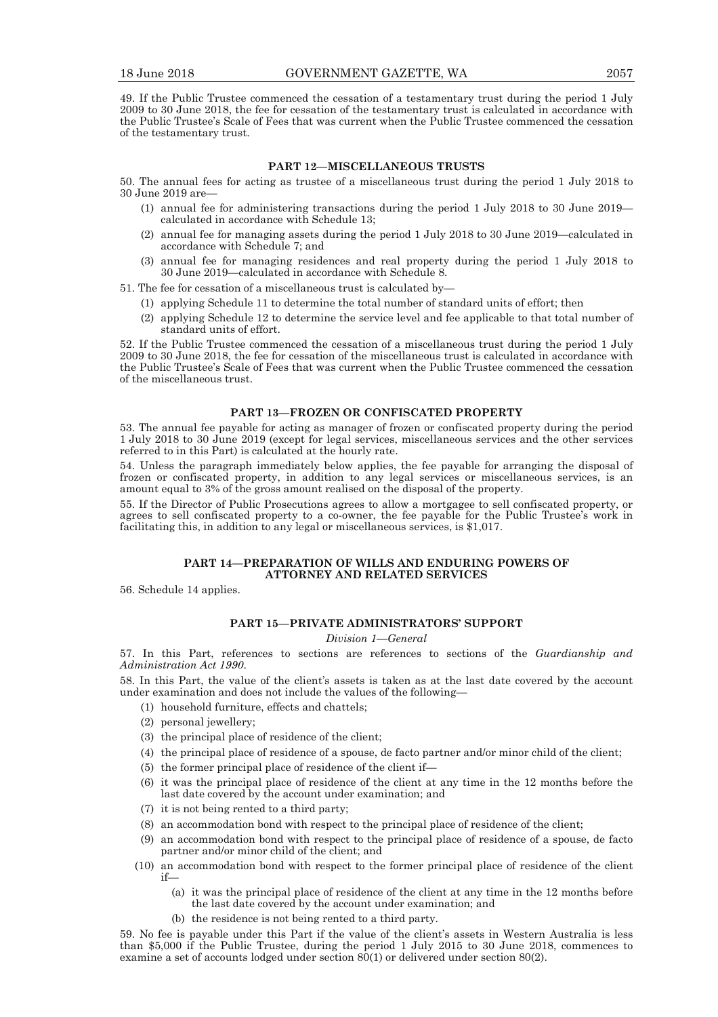49. If the Public Trustee commenced the cessation of a testamentary trust during the period 1 July 2009 to 30 June 2018, the fee for cessation of the testamentary trust is calculated in accordance with the Public Trustee's Scale of Fees that was current when the Public Trustee commenced the cessation of the testamentary trust.

#### **PART 12—MISCELLANEOUS TRUSTS**

50. The annual fees for acting as trustee of a miscellaneous trust during the period 1 July 2018 to 30 June 2019 are—

- (1) annual fee for administering transactions during the period 1 July 2018 to 30 June 2019 calculated in accordance with Schedule 13;
- (2) annual fee for managing assets during the period 1 July 2018 to 30 June 2019—calculated in accordance with Schedule 7; and
- (3) annual fee for managing residences and real property during the period 1 July 2018 to 30 June 2019—calculated in accordance with Schedule 8.
- 51. The fee for cessation of a miscellaneous trust is calculated by—
	- (1) applying Schedule 11 to determine the total number of standard units of effort; then
	- (2) applying Schedule 12 to determine the service level and fee applicable to that total number of standard units of effort.

52. If the Public Trustee commenced the cessation of a miscellaneous trust during the period 1 July 2009 to 30 June 2018, the fee for cessation of the miscellaneous trust is calculated in accordance with the Public Trustee's Scale of Fees that was current when the Public Trustee commenced the cessation of the miscellaneous trust.

#### **PART 13—FROZEN OR CONFISCATED PROPERTY**

53. The annual fee payable for acting as manager of frozen or confiscated property during the period 1 July 2018 to 30 June 2019 (except for legal services, miscellaneous services and the other services referred to in this Part) is calculated at the hourly rate.

54. Unless the paragraph immediately below applies, the fee payable for arranging the disposal of frozen or confiscated property, in addition to any legal services or miscellaneous services, is an amount equal to 3% of the gross amount realised on the disposal of the property.

55. If the Director of Public Prosecutions agrees to allow a mortgagee to sell confiscated property, or agrees to sell confiscated property to a co-owner, the fee payable for the Public Trustee's work in facilitating this, in addition to any legal or miscellaneous services, is \$1,017.

#### **PART 14—PREPARATION OF WILLS AND ENDURING POWERS OF ATTORNEY AND RELATED SERVICES**

56. Schedule 14 applies.

#### **PART 15—PRIVATE ADMINISTRATORS' SUPPORT**

#### *Division 1—General*

57. In this Part, references to sections are references to sections of the *Guardianship and Administration Act 1990*.

58. In this Part, the value of the client's assets is taken as at the last date covered by the account under examination and does not include the values of the following—

- (1) household furniture, effects and chattels;
- (2) personal jewellery;
- (3) the principal place of residence of the client;
- (4) the principal place of residence of a spouse, de facto partner and/or minor child of the client;
- (5) the former principal place of residence of the client if—
- (6) it was the principal place of residence of the client at any time in the 12 months before the last date covered by the account under examination; and
- (7) it is not being rented to a third party;
- (8) an accommodation bond with respect to the principal place of residence of the client;
- (9) an accommodation bond with respect to the principal place of residence of a spouse, de facto partner and/or minor child of the client; and
- (10) an accommodation bond with respect to the former principal place of residence of the client if—
	- (a) it was the principal place of residence of the client at any time in the 12 months before the last date covered by the account under examination; and
	- (b) the residence is not being rented to a third party.

59. No fee is payable under this Part if the value of the client's assets in Western Australia is less than \$5,000 if the Public Trustee, during the period 1 July 2015 to 30 June 2018, commences to examine a set of accounts lodged under section 80(1) or delivered under section 80(2).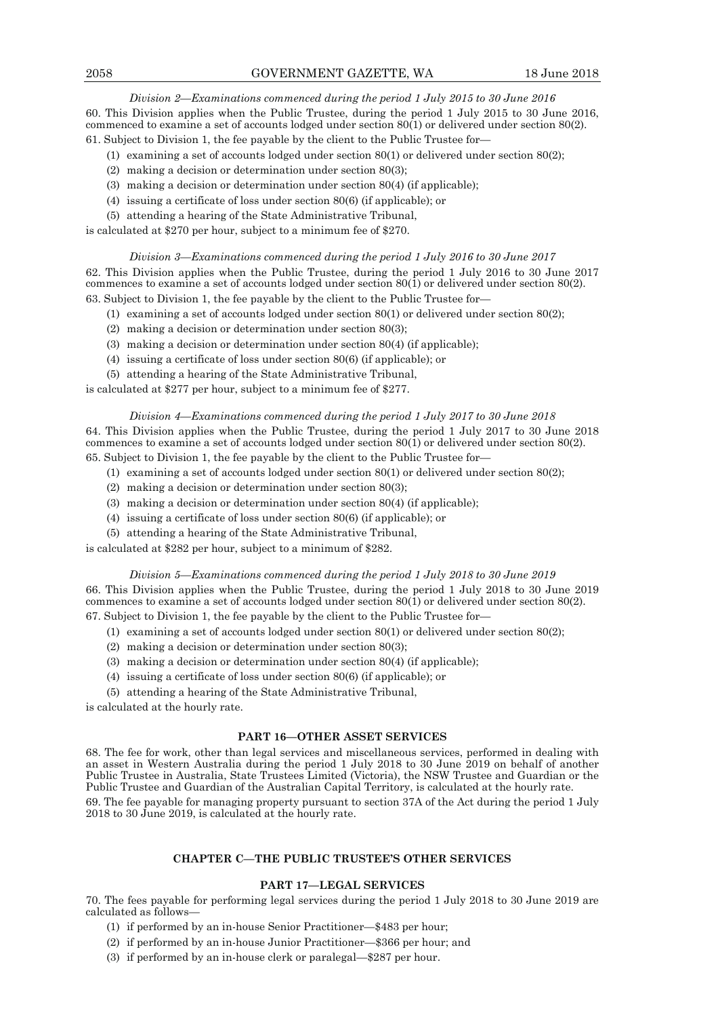*Division 2—Examinations commenced during the period 1 July 2015 to 30 June 2016* 

60. This Division applies when the Public Trustee, during the period 1 July 2015 to 30 June 2016, commenced to examine a set of accounts lodged under section 80(1) or delivered under section 80(2).

61. Subject to Division 1, the fee payable by the client to the Public Trustee for—

- (1) examining a set of accounts lodged under section 80(1) or delivered under section 80(2);
- (2) making a decision or determination under section 80(3);
- (3) making a decision or determination under section 80(4) (if applicable);
- (4) issuing a certificate of loss under section 80(6) (if applicable); or
- (5) attending a hearing of the State Administrative Tribunal,

is calculated at \$270 per hour, subject to a minimum fee of \$270.

#### *Division 3—Examinations commenced during the period 1 July 2016 to 30 June 2017*

62. This Division applies when the Public Trustee, during the period 1 July 2016 to 30 June 2017 commences to examine a set of accounts lodged under section 80(1) or delivered under section 80(2). 63. Subject to Division 1, the fee payable by the client to the Public Trustee for—

- (1) examining a set of accounts lodged under section 80(1) or delivered under section 80(2);
- (2) making a decision or determination under section 80(3);
- (3) making a decision or determination under section 80(4) (if applicable);
- (4) issuing a certificate of loss under section 80(6) (if applicable); or
- (5) attending a hearing of the State Administrative Tribunal,

is calculated at \$277 per hour, subject to a minimum fee of \$277.

#### *Division 4—Examinations commenced during the period 1 July 2017 to 30 June 2018*

64. This Division applies when the Public Trustee, during the period 1 July 2017 to 30 June 2018 commences to examine a set of accounts lodged under section  $80(1)$  or delivered under section  $80(2)$ . 65. Subject to Division 1, the fee payable by the client to the Public Trustee for—

- (1) examining a set of accounts lodged under section 80(1) or delivered under section 80(2);
- (2) making a decision or determination under section 80(3);
- (3) making a decision or determination under section 80(4) (if applicable);
- (4) issuing a certificate of loss under section 80(6) (if applicable); or
- (5) attending a hearing of the State Administrative Tribunal,

is calculated at \$282 per hour, subject to a minimum of \$282.

#### *Division 5—Examinations commenced during the period 1 July 2018 to 30 June 2019*

66. This Division applies when the Public Trustee, during the period 1 July 2018 to 30 June 2019 commences to examine a set of accounts lodged under section 80(1) or delivered under section 80(2). 67. Subject to Division 1, the fee payable by the client to the Public Trustee for—

- (1) examining a set of accounts lodged under section 80(1) or delivered under section 80(2);
- (2) making a decision or determination under section 80(3);
- (3) making a decision or determination under section 80(4) (if applicable);
- (4) issuing a certificate of loss under section 80(6) (if applicable); or
- (5) attending a hearing of the State Administrative Tribunal,

is calculated at the hourly rate.

#### **PART 16—OTHER ASSET SERVICES**

68. The fee for work, other than legal services and miscellaneous services, performed in dealing with an asset in Western Australia during the period 1 July 2018 to 30 June 2019 on behalf of another Public Trustee in Australia, State Trustees Limited (Victoria), the NSW Trustee and Guardian or the Public Trustee and Guardian of the Australian Capital Territory, is calculated at the hourly rate.

69. The fee payable for managing property pursuant to section 37A of the Act during the period 1 July 2018 to 30 June 2019, is calculated at the hourly rate.

#### **CHAPTER C—THE PUBLIC TRUSTEE'S OTHER SERVICES**

#### **PART 17—LEGAL SERVICES**

70. The fees payable for performing legal services during the period 1 July 2018 to 30 June 2019 are calculated as follows—

- (1) if performed by an in-house Senior Practitioner—\$483 per hour;
- (2) if performed by an in-house Junior Practitioner—\$366 per hour; and
- (3) if performed by an in-house clerk or paralegal—\$287 per hour.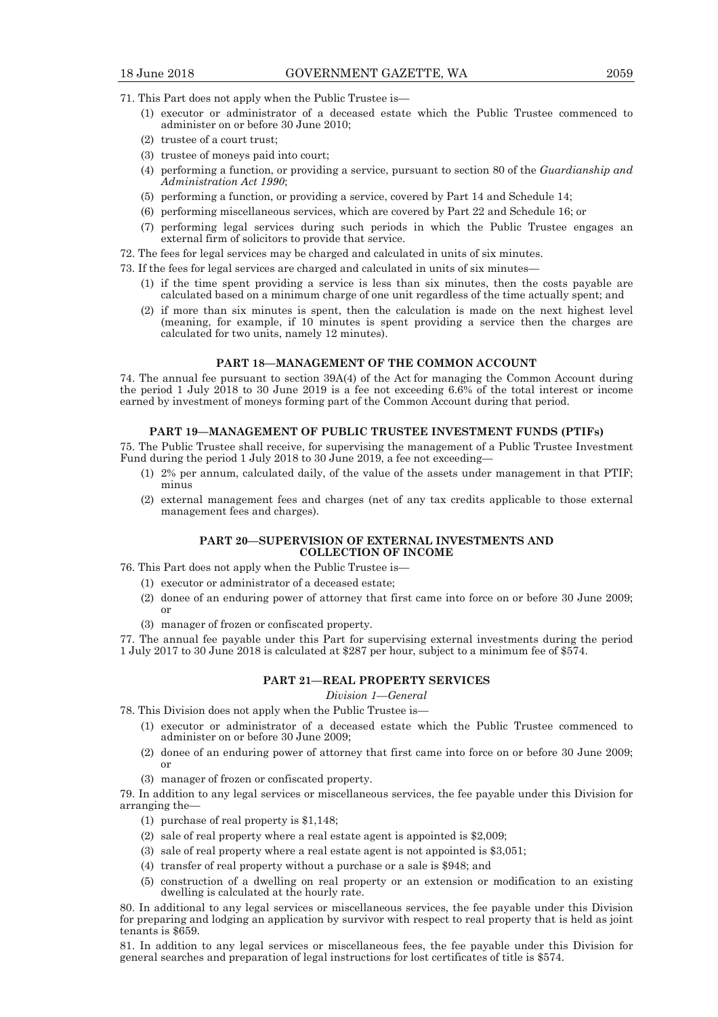- 71. This Part does not apply when the Public Trustee is—
	- $(1)$  executor or administrator of a deceased estate which the Public Trustee commenced to administer on or before 30 June 2010;
	- $(2)$  trustee of a court trust:
	- $(3)$  trustee of moneys paid into court;
	- (4) performing a function, or providing a service, pursuant to section 80 of the *Guardianship and Administration Act 1990*;
	- $(5)$  performing a function, or providing a service, covered by Part 14 and Schedule 14;
	- $(6)$  performing miscellaneous services, which are covered by Part 22 and Schedule 16; or
	- (7) performing legal services during such periods in which the Public Trustee engages an external firm of solicitors to provide that service.
- 72. The fees for legal services may be charged and calculated in units of six minutes.
- 73. If the fees for legal services are charged and calculated in units of six minutes—
	- $(1)$  if the time spent providing a service is less than six minutes, then the costs payable are calculated based on a minimum charge of one unit regardless of the time actually spent; and
	- $(2)$  if more than six minutes is spent, then the calculation is made on the next highest level (meaning, for example, if 10 minutes is spent providing a service then the charges are calculated for two units, namely 12 minutes).

#### **PART 18—MANAGEMENT OF THE COMMON ACCOUNT**

74. The annual fee pursuant to section 39A(4) of the Act for managing the Common Account during the period 1 July 2018 to 30 June 2019 is a fee not exceeding 6.6% of the total interest or income earned by investment of moneys forming part of the Common Account during that period.

#### **PART 19—MANAGEMENT OF PUBLIC TRUSTEE INVESTMENT FUNDS (PTIFs)**

75. The Public Trustee shall receive, for supervising the management of a Public Trustee Investment Fund during the period 1 July 2018 to 30 June 2019, a fee not exceeding—

- (1) 2% per annum, calculated daily, of the value of the assets under management in that PTIF; minus
- $(2)$  external management fees and charges (net of any tax credits applicable to those external management fees and charges).

#### **PART 20—SUPERVISION OF EXTERNAL INVESTMENTS AND COLLECTION OF INCOME**

- 76. This Part does not apply when the Public Trustee is—
	- $(1)$  executor or administrator of a deceased estate;
	- $(2)$  donee of an enduring power of attorney that first came into force on or before 30 June 2009; or
	- (3) manager of frozen or confiscated property.

77. The annual fee payable under this Part for supervising external investments during the period 1 July 2017 to 30 June 2018 is calculated at \$287 per hour, subject to a minimum fee of \$574.

#### **PART 21—REAL PROPERTY SERVICES**

#### *Division 1—General*

- 78. This Division does not apply when the Public Trustee is—
	- $(1)$  executor or administrator of a deceased estate which the Public Trustee commenced to administer on or before 30 June 2009;
	- $(2)$  donee of an enduring power of attorney that first came into force on or before 30 June 2009; or
	- (3) manager of frozen or confiscated property.

79. In addition to any legal services or miscellaneous services, the fee payable under this Division for arranging the—

- (1) purchase of real property is  $$1,148$ ;
- (2) sale of real property where a real estate agent is appointed is  $$2,009$ ;
- (3) sale of real property where a real estate agent is not appointed is  $$3,051;$
- (4) transfer of real property without a purchase or a sale is  $$948$ ; and
- $(5)$  construction of a dwelling on real property or an extension or modification to an existing dwelling is calculated at the hourly rate.

80. In additional to any legal services or miscellaneous services, the fee payable under this Division for preparing and lodging an application by survivor with respect to real property that is held as joint tenants is \$659.

81. In addition to any legal services or miscellaneous fees, the fee payable under this Division for general searches and preparation of legal instructions for lost certificates of title is \$574.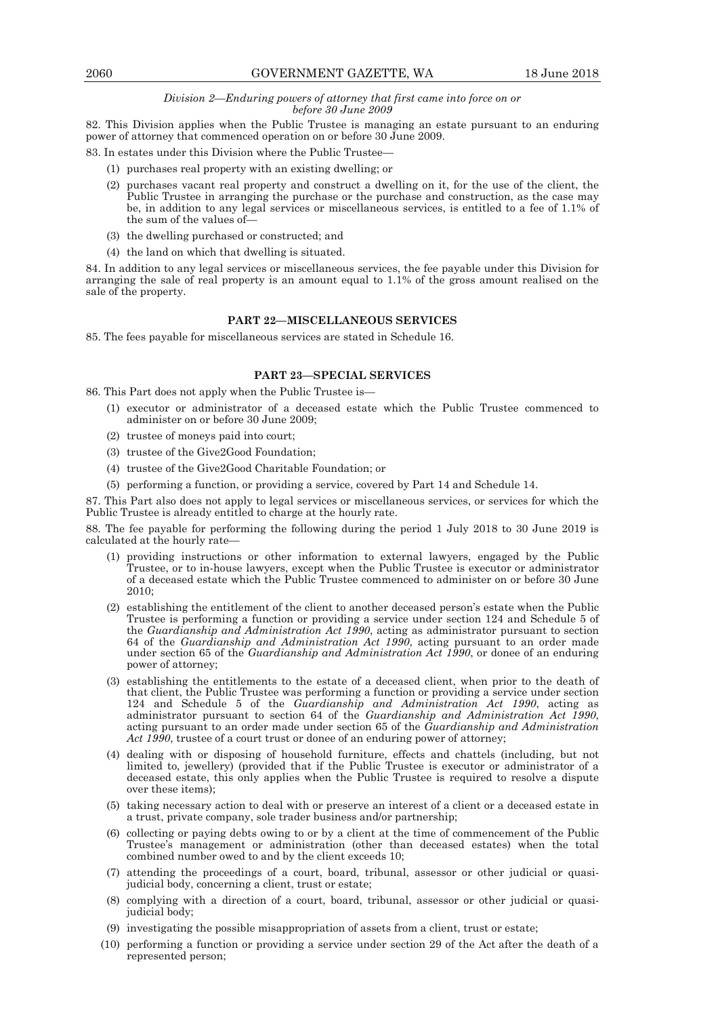#### *Division 2—Enduring powers of attorney that first came into force on or before 30 June 2009*

82. This Division applies when the Public Trustee is managing an estate pursuant to an enduring power of attorney that commenced operation on or before 30 June 2009.

83. In estates under this Division where the Public Trustee—

- $(1)$  purchases real property with an existing dwelling; or
- $(2)$  purchases vacant real property and construct a dwelling on it, for the use of the client, the Public Trustee in arranging the purchase or the purchase and construction, as the case may be, in addition to any legal services or miscellaneous services, is entitled to a fee of 1.1% of the sum of the values of—
	- $(3)$  the dwelling purchased or constructed; and
	- $(4)$  the land on which that dwelling is situated.

84. In addition to any legal services or miscellaneous services, the fee payable under this Division for arranging the sale of real property is an amount equal to 1.1% of the gross amount realised on the sale of the property.

#### **PART 22—MISCELLANEOUS SERVICES**

85. The fees payable for miscellaneous services are stated in Schedule 16.

#### **PART 23—SPECIAL SERVICES**

86. This Part does not apply when the Public Trustee is—

- $(1)$  executor or administrator of a deceased estate which the Public Trustee commenced to administer on or before 30 June 2009;
- $(2)$  trustee of moneys paid into court;
- $(3)$  trustee of the Give2Good Foundation:
- $(4)$  trustee of the Give2Good Charitable Foundation; or
- $(5)$  performing a function, or providing a service, covered by Part 14 and Schedule 14.

87. This Part also does not apply to legal services or miscellaneous services, or services for which the Public Trustee is already entitled to charge at the hourly rate.

88. The fee payable for performing the following during the period 1 July 2018 to 30 June 2019 is calculated at the hourly rate—

- (1) providing instructions or other information to external lawyers, engaged by the Public Trustee, or to in-house lawyers, except when the Public Trustee is executor or administrator of a deceased estate which the Public Trustee commenced to administer on or before 30 June 2010;
- $(2)$  establishing the entitlement of the client to another deceased person's estate when the Public Trustee is performing a function or providing a service under section 124 and Schedule 5 of the *Guardianship and Administration Act 1990*, acting as administrator pursuant to section 64 of the *Guardianship and Administration Act 1990*, acting pursuant to an order made under section 65 of the *Guardianship and Administration Act 1990*, or donee of an enduring power of attorney;
- $(3)$  establishing the entitlements to the estate of a deceased client, when prior to the death of that client, the Public Trustee was performing a function or providing a service under section 124 and Schedule 5 of the *Guardianship and Administration Act 1990*, acting as administrator pursuant to section 64 of the *Guardianship and Administration Act 1990*, acting pursuant to an order made under section 65 of the *Guardianship and Administration Act 1990*, trustee of a court trust or donee of an enduring power of attorney;
- (4) dealing with or disposing of household furniture, effects and chattels (including, but not limited to, jewellery) (provided that if the Public Trustee is executor or administrator of a deceased estate, this only applies when the Public Trustee is required to resolve a dispute over these items);
	- (5) taking necessary action to deal with or preserve an interest of a client or a deceased estate in a trust, private company, sole trader business and/or partnership;
	- (6) collecting or paying debts owing to or by a client at the time of commencement of the Public Trustee's management or administration (other than deceased estates) when the total combined number owed to and by the client exceeds 10;
	- $(7)$  attending the proceedings of a court, board, tribunal, assessor or other judicial or quasijudicial body, concerning a client, trust or estate;
	- $(8)$  complying with a direction of a court, board, tribunal, assessor or other judicial or quasijudicial body;
	- $(9)$  investigating the possible misappropriation of assets from a client, trust or estate;
	- $(10)$  performing a function or providing a service under section 29 of the Act after the death of a represented person;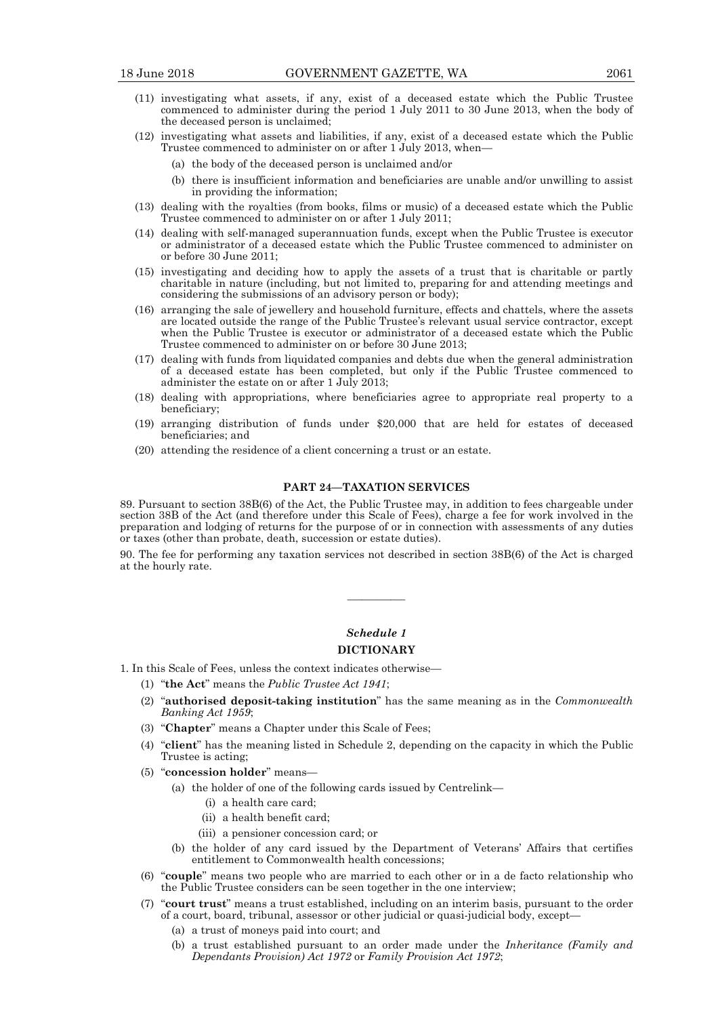- (11) investigating what assets, if any, exist of a deceased estate which the Public Trustee commenced to administer during the period 1 July 2011 to 30 June 2013, when the body of the deceased person is unclaimed;
- (12) investigating what assets and liabilities, if any, exist of a deceased estate which the Public Trustee commenced to administer on or after 1 July 2013, when—
	- (a) the body of the deceased person is unclaimed and/or
	- (b) there is insufficient information and beneficiaries are unable and/or unwilling to assist in providing the information;
- $(13)$  dealing with the royalties (from books, films or music) of a deceased estate which the Public Trustee commenced to administer on or after 1 July 2011;
- (14) dealing with self-managed superannuation funds, except when the Public Trustee is executor or administrator of a deceased estate which the Public Trustee commenced to administer on or before 30 June 2011;
- $(15)$  investigating and deciding how to apply the assets of a trust that is charitable or partly charitable in nature (including, but not limited to, preparing for and attending meetings and considering the submissions of an advisory person or body);
- (16) arranging the sale of jewellery and household furniture, effects and chattels, where the assets are located outside the range of the Public Trustee's relevant usual service contractor, except when the Public Trustee is executor or administrator of a deceased estate which the Public Trustee commenced to administer on or before 30 June 2013;
- $(17)$  dealing with funds from liquidated companies and debts due when the general administration of a deceased estate has been completed, but only if the Public Trustee commenced to administer the estate on or after 1 July 2013;
	- (18) dealing with appropriations, where beneficiaries agree to appropriate real property to a beneficiary;
	- $(19)$  arranging distribution of funds under \$20,000 that are held for estates of deceased beneficiaries; and
	- $(20)$  attending the residence of a client concerning a trust or an estate.

#### **PART 24—TAXATION SERVICES**

89. Pursuant to section 38B(6) of the Act, the Public Trustee may, in addition to fees chargeable under section 38B of the Act (and therefore under this Scale of Fees), charge a fee for work involved in the preparation and lodging of returns for the purpose of or in connection with assessments of any duties or taxes (other than probate, death, succession or estate duties).

90. The fee for performing any taxation services not described in section 38B(6) of the Act is charged at the hourly rate.

## *Schedule 1*

————

#### **DICTIONARY**

- 1. In this Scale of Fees, unless the context indicates otherwise—
	- (1) "the Act" means the *Public Trustee Act 1941*:
	- (2) "**authorised deposit-taking institution**" has the same meaning as in the *Commonwealth Banking Act 1959*;
	- (3) **Chapter**" means a Chapter under this Scale of Fees;
	- (4) "**client**" has the meaning listed in Schedule 2, depending on the capacity in which the Public Trustee is acting;
	- (5) "concession holder" means-
		- (a) the holder of one of the following cards issued by Centrelink—
			- (i) a health care card;
			- (ii) a health benefit card;
			- (iii) a pensioner concession card; or
		- (b) the holder of any card issued by the Department of Veterans' Affairs that certifies entitlement to Commonwealth health concessions;
	- (6) "**couple**" means two people who are married to each other or in a de facto relationship who the Public Trustee considers can be seen together in the one interview;
	- (7) "court trust" means a trust established, including on an interim basis, pursuant to the order of a court, board, tribunal, assessor or other judicial or quasi-judicial body, except—
		- (a) a trust of moneys paid into court; and
		- (b) a trust established pursuant to an order made under the *Inheritance (Family and Dependants Provision) Act 1972* or *Family Provision Act 1972*;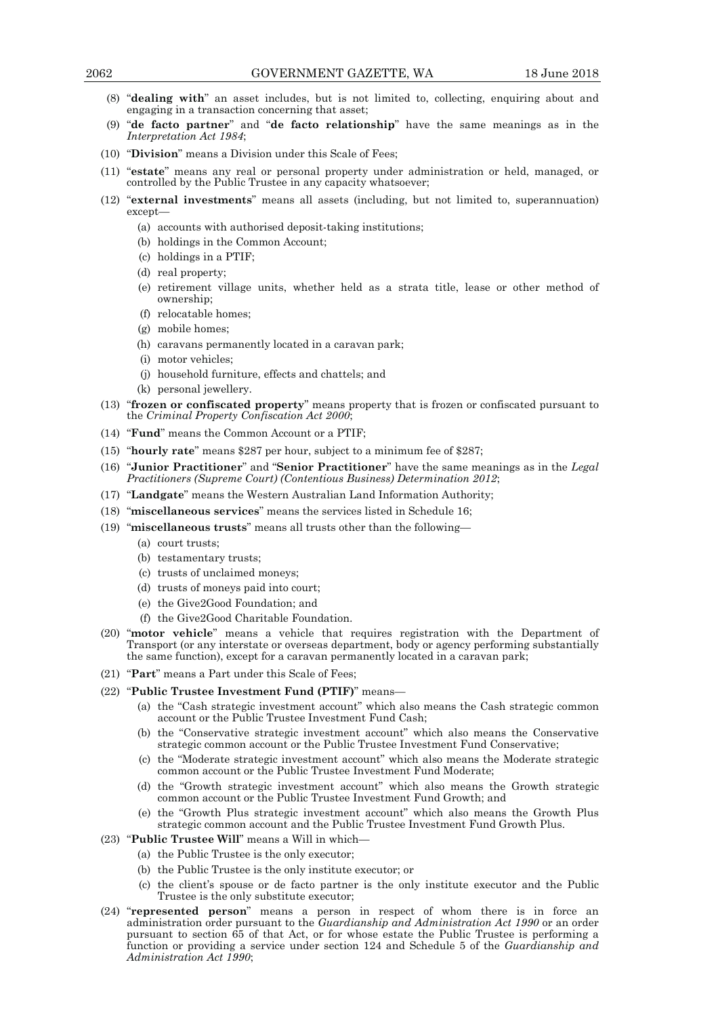- (8) "dealing with" an asset includes, but is not limited to, collecting, enquiring about and engaging in a transaction concerning that asset;
- (9) "de facto partner" and "de facto relationship" have the same meanings as in the *Interpretation Act 1984*;
- (10) **"Division"** means a Division under this Scale of Fees;
- (11) "estate" means any real or personal property under administration or held, managed, or controlled by the Public Trustee in any capacity whatsoever;
- (" 12) **external investments**" means all assets (including, but not limited to, superannuation) except—
	- (a) accounts with authorised deposit-taking institutions;
	- (b) holdings in the Common Account;
	- (c) holdings in a PTIF;
	- (d) real property;
	- (e) retirement village units, whether held as a strata title, lease or other method of ownership;
	- (f) relocatable homes;
	- (g) mobile homes;
	- (h) caravans permanently located in a caravan park;
	- (i) motor vehicles;
	- (j) household furniture, effects and chattels; and
	- (k) personal jewellery.
- (13) **"frozen or confiscated property"** means property that is frozen or confiscated pursuant to the *Criminal Property Confiscation Act 2000*;
- (14) **Fund**" means the Common Account or a PTIF;
- (15) **hourly rate**" means \$287 per hour, subject to a minimum fee of \$287;
- (" 16) **Junior Practitioner**" and "**Senior Practitioner**" have the same meanings as in the *Legal Practitioners (Supreme Court) (Contentious Business) Determination 2012*;
- (17) "Landgate" means the Western Australian Land Information Authority;
- (18) "miscellaneous services" means the services listed in Schedule 16;
- (19) **"miscellaneous trusts"** means all trusts other than the following-
	- (a) court trusts;
	- (b) testamentary trusts;
	- (c) trusts of unclaimed moneys;
	- (d) trusts of moneys paid into court;
	- (e) the Give2Good Foundation; and
	- (f) the Give2Good Charitable Foundation.
- (20) "motor vehicle" means a vehicle that requires registration with the Department of Transport (or any interstate or overseas department, body or agency performing substantially the same function), except for a caravan permanently located in a caravan park;
- (21) **Part**" means a Part under this Scale of Fees;

#### (22) **"Public Trustee Investment Fund (PTIF)"** means-

- (a) the "Cash strategic investment account" which also means the Cash strategic common account or the Public Trustee Investment Fund Cash;
- (b) the "Conservative strategic investment account" which also means the Conservative strategic common account or the Public Trustee Investment Fund Conservative;
- (c) the "Moderate strategic investment account" which also means the Moderate strategic common account or the Public Trustee Investment Fund Moderate;
- (d) the "Growth strategic investment account" which also means the Growth strategic common account or the Public Trustee Investment Fund Growth; and
- (e) the "Growth Plus strategic investment account" which also means the Growth Plus strategic common account and the Public Trustee Investment Fund Growth Plus.
- (23) **Public Trustee Will**" means a Will in which-
	- (a) the Public Trustee is the only executor;
	- (b) the Public Trustee is the only institute executor; or
	- (c) the client's spouse or de facto partner is the only institute executor and the Public Trustee is the only substitute executor;
- (24) **"represented person**" means a person in respect of whom there is in force an administration order pursuant to the *Guardianship and Administration Act 1990* or an order pursuant to section 65 of that Act, or for whose estate the Public Trustee is performing a function or providing a service under section 124 and Schedule 5 of the *Guardianship and Administration Act 1990*;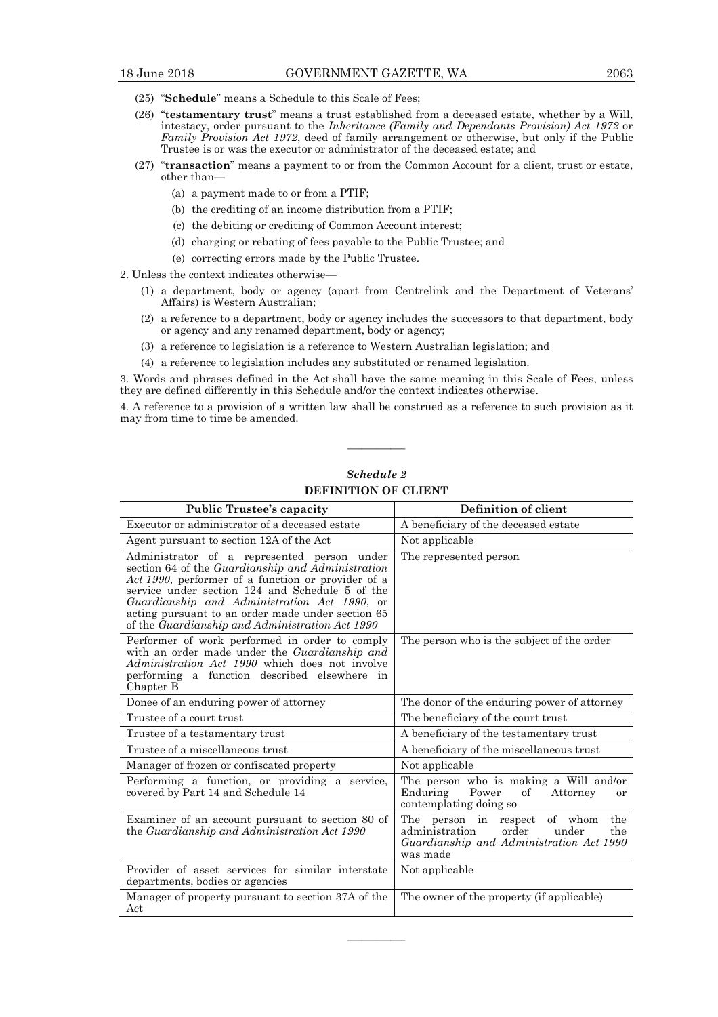- (25) "Schedule" means a Schedule to this Scale of Fees;
- (26) "testamentary trust" means a trust established from a deceased estate, whether by a Will, intestacy, order pursuant to the *Inheritance (Family and Dependants Provision) Act 1972* or *Family Provision Act 1972*, deed of family arrangement or otherwise, but only if the Public Trustee is or was the executor or administrator of the deceased estate; and
- (27) "transaction" means a payment to or from the Common Account for a client, trust or estate, other than—
	- (a) a payment made to or from a PTIF;
	- (b) the crediting of an income distribution from a PTIF;
	- (c) the debiting or crediting of Common Account interest;
	- (d) charging or rebating of fees payable to the Public Trustee; and
	- (e) correcting errors made by the Public Trustee.
- 2. Unless the context indicates otherwise—
	- (1) a department, body or agency (apart from Centrelink and the Department of Veterans' Affairs) is Western Australian;
	- $(2)$  a reference to a department, body or agency includes the successors to that department, body or agency and any renamed department, body or agency;
	- $(3)$  a reference to legislation is a reference to Western Australian legislation; and
	- $(4)$  a reference to legislation includes any substituted or renamed legislation.

3. Words and phrases defined in the Act shall have the same meaning in this Scale of Fees, unless they are defined differently in this Schedule and/or the context indicates otherwise.

4. A reference to a provision of a written law shall be construed as a reference to such provision as it may from time to time be amended.

————

| Schedule 2           |
|----------------------|
| DEFINITION OF CLIENT |

| <b>Public Trustee's capacity</b>                                                                                                                                                                                                                                                                                                                                  | Definition of client                                                                                                                       |
|-------------------------------------------------------------------------------------------------------------------------------------------------------------------------------------------------------------------------------------------------------------------------------------------------------------------------------------------------------------------|--------------------------------------------------------------------------------------------------------------------------------------------|
| Executor or administrator of a deceased estate                                                                                                                                                                                                                                                                                                                    | A beneficiary of the deceased estate                                                                                                       |
| Agent pursuant to section 12A of the Act                                                                                                                                                                                                                                                                                                                          | Not applicable                                                                                                                             |
| Administrator of a represented person under<br>section 64 of the Guardianship and Administration<br>Act 1990, performer of a function or provider of a<br>service under section 124 and Schedule 5 of the<br>Guardianship and Administration Act 1990, or<br>acting pursuant to an order made under section 65<br>of the Guardianship and Administration Act 1990 | The represented person                                                                                                                     |
| Performer of work performed in order to comply<br>with an order made under the <i>Guardianship and</i><br><i>Administration Act 1990</i> which does not involve<br>performing a function described elsewhere in<br>Chapter B                                                                                                                                      | The person who is the subject of the order                                                                                                 |
| Donee of an enduring power of attorney                                                                                                                                                                                                                                                                                                                            | The donor of the enduring power of attorney                                                                                                |
| Trustee of a court trust                                                                                                                                                                                                                                                                                                                                          | The beneficiary of the court trust                                                                                                         |
| Trustee of a testamentary trust                                                                                                                                                                                                                                                                                                                                   | A beneficiary of the testamentary trust                                                                                                    |
| Trustee of a miscellaneous trust                                                                                                                                                                                                                                                                                                                                  | A beneficiary of the miscellaneous trust                                                                                                   |
| Manager of frozen or confiscated property                                                                                                                                                                                                                                                                                                                         | Not applicable                                                                                                                             |
| Performing a function, or providing a service,<br>covered by Part 14 and Schedule 14                                                                                                                                                                                                                                                                              | The person who is making a Will and/or<br>Enduring<br>Power<br>Attorney<br>οf<br><sub>or</sub><br>contemplating doing so                   |
| Examiner of an account pursuant to section 80 of<br>the Guardianship and Administration Act 1990                                                                                                                                                                                                                                                                  | of whom<br>The person in respect<br>the<br>administration<br>order<br>under<br>the<br>Guardianship and Administration Act 1990<br>was made |
| Provider of asset services for similar interstate<br>departments, bodies or agencies                                                                                                                                                                                                                                                                              | Not applicable                                                                                                                             |
| Manager of property pursuant to section 37A of the<br>Act                                                                                                                                                                                                                                                                                                         | The owner of the property (if applicable)                                                                                                  |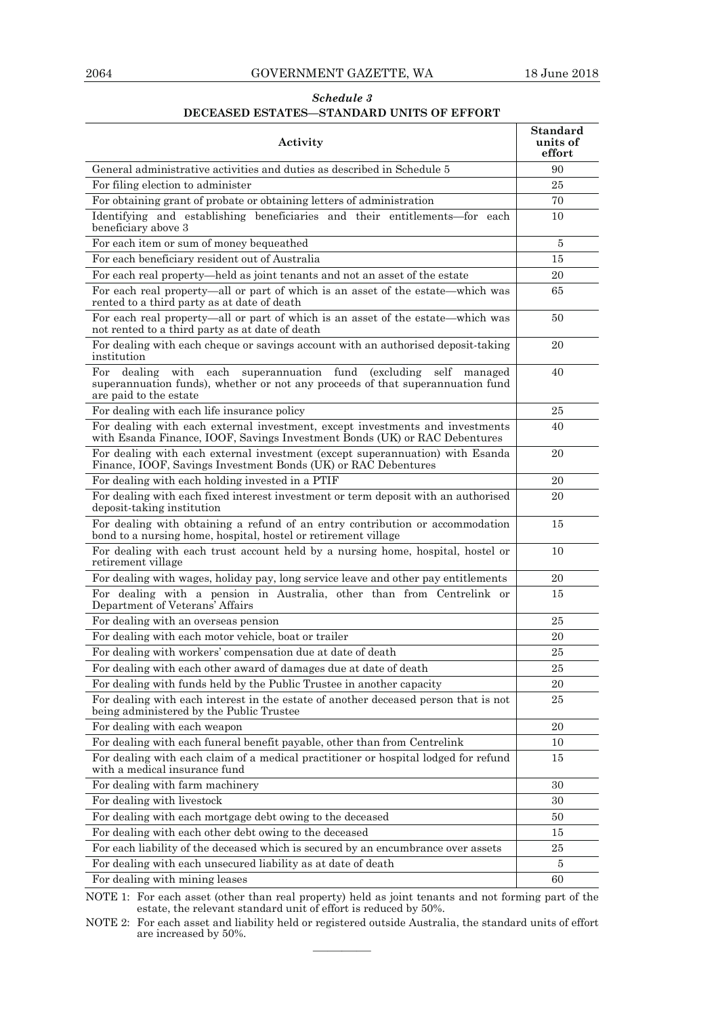#### 2064 GOVERNMENT GAZETTE, WA 18 June 2018

#### *Schedule 3*  **DECEASED ESTATES—STANDARD UNITS OF EFFORT**

| Activity                                                                                                                                                                               | Standard<br>units of<br>effort |
|----------------------------------------------------------------------------------------------------------------------------------------------------------------------------------------|--------------------------------|
| General administrative activities and duties as described in Schedule 5                                                                                                                | 90                             |
| For filing election to administer                                                                                                                                                      | 25                             |
| For obtaining grant of probate or obtaining letters of administration                                                                                                                  | 70                             |
| Identifying and establishing beneficiaries and their entitlements—for each<br>beneficiary above 3                                                                                      | 10                             |
| For each item or sum of money bequeathed                                                                                                                                               | 5                              |
| For each beneficiary resident out of Australia                                                                                                                                         | 15                             |
| For each real property—held as joint tenants and not an asset of the estate                                                                                                            | 20                             |
| For each real property—all or part of which is an asset of the estate—which was<br>rented to a third party as at date of death                                                         | 65                             |
| For each real property—all or part of which is an asset of the estate—which was<br>not rented to a third party as at date of death                                                     | 50                             |
| For dealing with each cheque or savings account with an authorised deposit-taking<br>institution                                                                                       | 20                             |
| superannuation fund (excluding self managed<br>For<br>dealing<br>with each<br>superannuation funds), whether or not any proceeds of that superannuation fund<br>are paid to the estate | 40                             |
| For dealing with each life insurance policy                                                                                                                                            | 25                             |
| For dealing with each external investment, except investments and investments<br>with Esanda Finance, IOOF, Savings Investment Bonds (UK) or RAC Debentures                            | 40                             |
| For dealing with each external investment (except superannuation) with Esanda<br>Finance, IOOF, Savings Investment Bonds (UK) or RAC Debentures                                        | 20                             |
| For dealing with each holding invested in a PTIF                                                                                                                                       | 20                             |
| For dealing with each fixed interest investment or term deposit with an authorised<br>deposit-taking institution                                                                       | 20                             |
| For dealing with obtaining a refund of an entry contribution or accommodation<br>bond to a nursing home, hospital, hostel or retirement village                                        | 15                             |
| For dealing with each trust account held by a nursing home, hospital, hostel or<br>retirement village                                                                                  | 10                             |
| For dealing with wages, holiday pay, long service leave and other pay entitlements                                                                                                     | 20                             |
| For dealing with a pension in Australia, other than from Centrelink or<br>Department of Veterans' Affairs                                                                              | 15                             |
| For dealing with an overseas pension                                                                                                                                                   | 25                             |
| For dealing with each motor vehicle, boat or trailer                                                                                                                                   | 20                             |
| For dealing with workers' compensation due at date of death                                                                                                                            | 25                             |
| For dealing with each other award of damages due at date of death                                                                                                                      | 25                             |
| For dealing with funds held by the Public Trustee in another capacity                                                                                                                  | 20                             |
| For dealing with each interest in the estate of another deceased person that is not<br>being administered by the Public Trustee                                                        | 25                             |
| For dealing with each weapon                                                                                                                                                           | 20                             |
| For dealing with each funeral benefit payable, other than from Centrelink                                                                                                              | 10                             |
| For dealing with each claim of a medical practitioner or hospital lodged for refund<br>with a medical insurance fund                                                                   | 15                             |
| For dealing with farm machinery                                                                                                                                                        | 30                             |
| For dealing with livestock                                                                                                                                                             | 30                             |
| For dealing with each mortgage debt owing to the deceased                                                                                                                              | 50                             |
| For dealing with each other debt owing to the deceased                                                                                                                                 | 15                             |
| For each liability of the deceased which is secured by an encumbrance over assets                                                                                                      | 25                             |
| For dealing with each unsecured liability as at date of death                                                                                                                          | 5                              |
| For dealing with mining leases                                                                                                                                                         | 60                             |

NOTE 1: For each asset (other than real property) held as joint tenants and not forming part of the estate, the relevant standard unit of effort is reduced by 50%.

NOTE 2: For each asset and liability held or registered outside Australia, the standard units of effort are increased by 50%. ————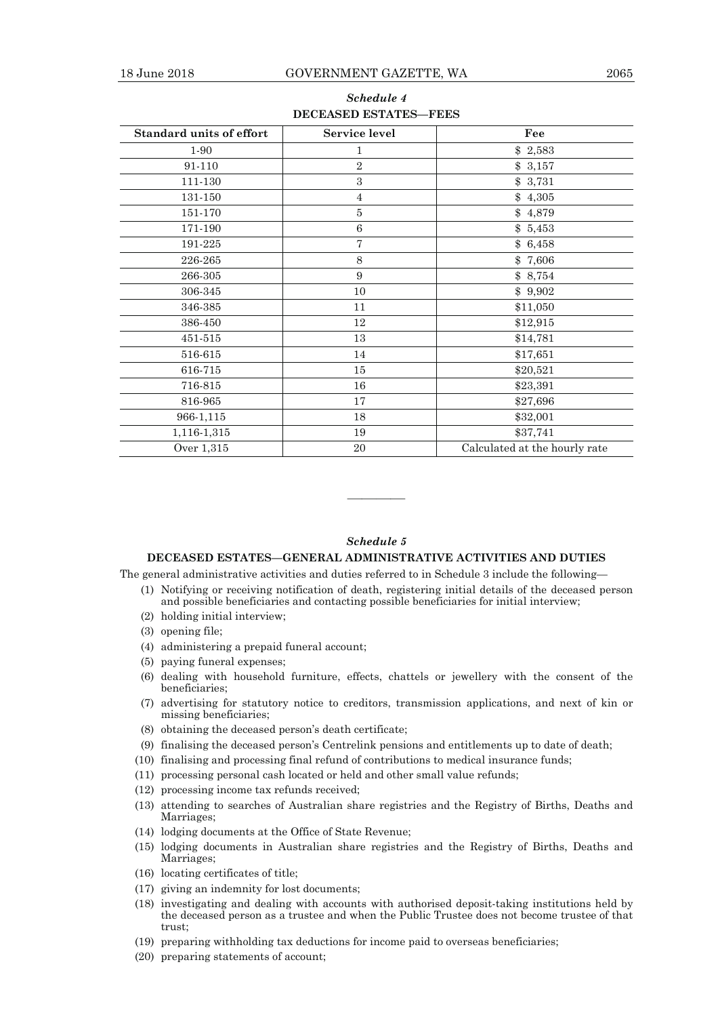| <b>Standard units of effort</b> | Service level  | Fee                           |  |
|---------------------------------|----------------|-------------------------------|--|
| 1-90                            |                | \$2,583                       |  |
| 91-110                          | $\overline{2}$ | \$3,157                       |  |
| 111-130                         | 3              | \$3,731                       |  |
| 131-150                         | $\overline{4}$ | \$4,305                       |  |
| 151-170                         | 5              | \$4,879                       |  |
| 171-190                         | 6              | \$5,453                       |  |
| 191-225                         | $\overline{7}$ | \$6,458                       |  |
| 226-265                         | $\,8\,$        | \$7,606                       |  |
| 266-305                         | 9              | \$8,754                       |  |
| 306-345                         | 10             | \$9,902                       |  |
| 346-385                         | 11             | \$11,050                      |  |
| 386-450                         | 12             | \$12,915                      |  |
| 451-515                         | 13             | \$14,781                      |  |
| 516-615                         | 14             | \$17,651                      |  |
| 616-715                         | 15             | \$20,521                      |  |
| 716-815                         | 16             | \$23,391                      |  |
| 816-965                         | 17             | \$27,696                      |  |
| 966-1,115                       | 18             | \$32,001                      |  |
| 1,116-1,315                     | 19             | \$37,741                      |  |
| Over 1,315                      | 20             | Calculated at the hourly rate |  |

#### *Schedule 4*  **DECEASED ESTATES—FEES**

#### *Schedule 5*

————

#### **DECEASED ESTATES—GENERAL ADMINISTRATIVE ACTIVITIES AND DUTIES**

The general administrative activities and duties referred to in Schedule 3 include the following—

- (1) Notifying or receiving notification of death, registering initial details of the deceased person and possible beneficiaries and contacting possible beneficiaries for initial interview;
- $(2)$  holding initial interview;
- $(3)$  opening file;
- $(4)$  administering a prepaid funeral account;
- $(5)$  paying funeral expenses;
- $(6)$  dealing with household furniture, effects, chattels or jewellery with the consent of the beneficiaries;
- (7) advertising for statutory notice to creditors, transmission applications, and next of kin or missing beneficiaries;
- $(8)$  obtaining the deceased person's death certificate;
- (9) finalising the deceased person's Centrelink pensions and entitlements up to date of death;
- $(10)$  finalising and processing final refund of contributions to medical insurance funds;
- $(11)$  processing personal cash located or held and other small value refunds;
- $(12)$  processing income tax refunds received;
- (13) attending to searches of Australian share registries and the Registry of Births, Deaths and Marriages;
- $(14)$  lodging documents at the Office of State Revenue;
- $(15)$  lodging documents in Australian share registries and the Registry of Births, Deaths and Marriages;
- $(16)$  locating certificates of title;
- $(17)$  giving an indemnity for lost documents;
- $(18)$  investigating and dealing with accounts with authorised deposit-taking institutions held by the deceased person as a trustee and when the Public Trustee does not become trustee of that trust;
- $(19)$  preparing withholding tax deductions for income paid to overseas beneficiaries;
- $(20)$  preparing statements of account;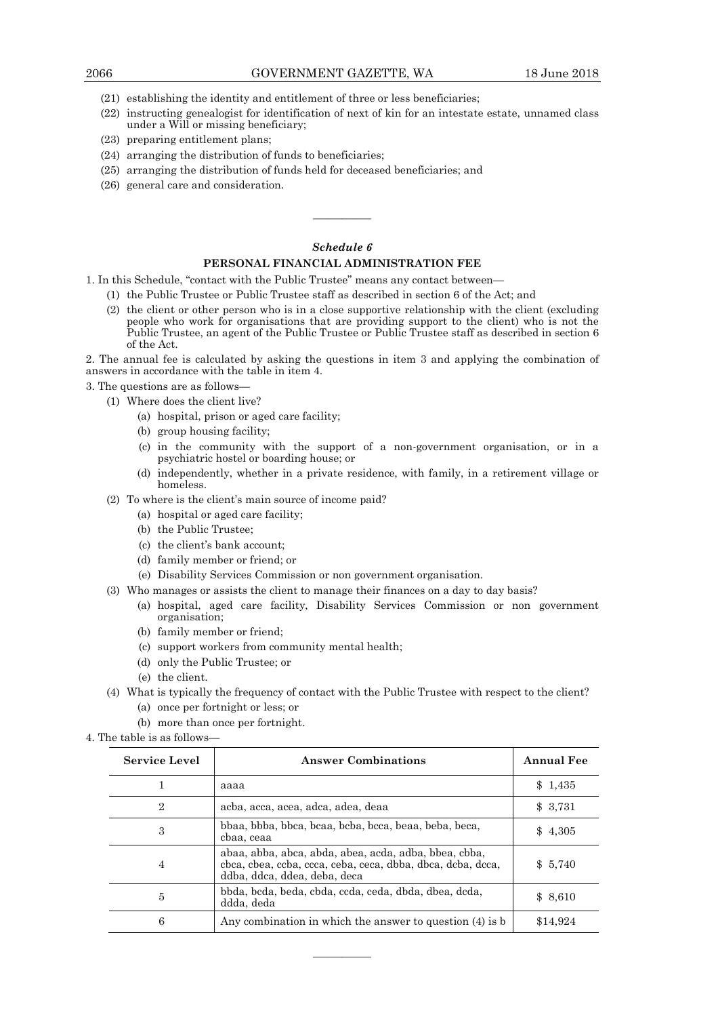- $(21)$  establishing the identity and entitlement of three or less beneficiaries;
- $(22)$  instructing genealogist for identification of next of kin for an intestate estate, unnamed class under a Will or missing beneficiary;
- $(23)$  preparing entitlement plans;
- $(24)$  arranging the distribution of funds to beneficiaries;
- $(25)$  arranging the distribution of funds held for deceased beneficiaries; and
- $(26)$  general care and consideration.

#### *Schedule 6*

————

#### **PERSONAL FINANCIAL ADMINISTRATION FEE**

1. In this Schedule, "contact with the Public Trustee" means any contact between—

- (1) the Public Trustee or Public Trustee staff as described in section  $6$  of the Act; and
- $(2)$  the client or other person who is in a close supportive relationship with the client (excluding people who work for organisations that are providing support to the client) who is not the Public Trustee, an agent of the Public Trustee or Public Trustee staff as described in section 6 of the Act.

2. The annual fee is calculated by asking the questions in item 3 and applying the combination of answers in accordance with the table in item 4.

3. The questions are as follows—

- (1) Where does the client live?
	- (a) hospital, prison or aged care facility;
	- (b) group housing facility;
	- (c) in the community with the support of a non-government organisation, or in a psychiatric hostel or boarding house; or
	- (d) independently, whether in a private residence, with family, in a retirement village or homeless.
- $(2)$  To where is the client's main source of income paid?
	- (a) hospital or aged care facility;
	- (b) the Public Trustee;
	- (c) the client's bank account;
	- (d) family member or friend; or
	- (e) Disability Services Commission or non government organisation.
- $(3)$  Who manages or assists the client to manage their finances on a day to day basis?
	- (a) hospital, aged care facility, Disability Services Commission or non government organisation;
		- (b) family member or friend;
		- (c) support workers from community mental health;
		- (d) only the Public Trustee; or
		- (e) the client.
- (4) What is typically the frequency of contact with the Public Trustee with respect to the client? (a) once per fortnight or less; or
	- (b) more than once per fortnight.
- 4. The table is as follows—

| <b>Service Level</b> | <b>Answer Combinations</b>                                                                                                                           | <b>Annual Fee</b> |
|----------------------|------------------------------------------------------------------------------------------------------------------------------------------------------|-------------------|
|                      | aaaa                                                                                                                                                 | \$1,435           |
| $\overline{2}$       | acba, acca, acea, adca, adea, deaa                                                                                                                   | \$3,731           |
| 3                    | bbaa, bbba, bbca, bcaa, bcba, bcca, beaa, beba, beca,<br>cbaa, ceaa                                                                                  | \$4,305           |
| 4                    | abaa, abba, abca, abda, abea, acda, adba, bbea, cbba,<br>cbca, cbea, ccba, ccca, ceba, ceca, dbba, dbca, dcba, dcca,<br>ddba, ddca, ddea, deba, deca | \$5,740           |
| 5                    | bbda, bcda, beda, cbda, ccda, ceda, dbda, dbea, dcda,<br>ddda, deda                                                                                  | \$8,610           |
| 6                    | Any combination in which the answer to question $(4)$ is b                                                                                           | \$14,924          |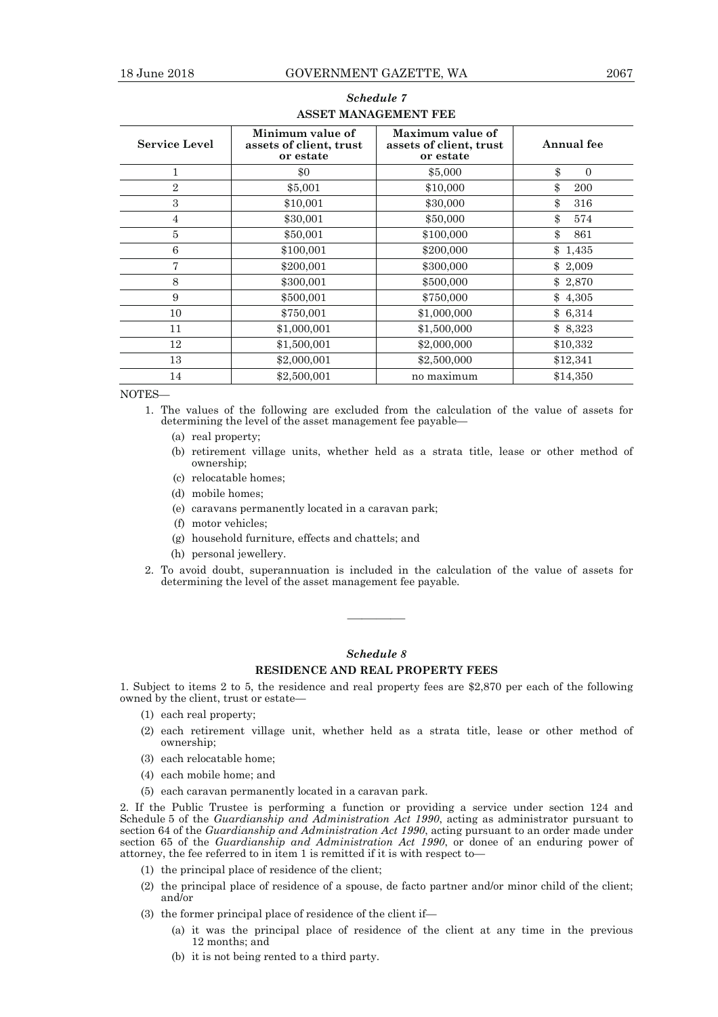| <b>Service Level</b> | Minimum value of<br>assets of client, trust<br>or estate | Maximum value of<br>assets of client, trust<br>or estate | Annual fee     |
|----------------------|----------------------------------------------------------|----------------------------------------------------------|----------------|
|                      | \$0                                                      | \$5,000                                                  | \$<br>$\Omega$ |
| $\overline{2}$       | \$5,001                                                  | \$10,000                                                 | \$<br>200      |
| 3                    | \$10,001                                                 | \$30,000                                                 | \$<br>316      |
| $\overline{4}$       | \$30,001                                                 | \$50,000                                                 | \$<br>574      |
| 5                    | \$50,001                                                 | \$100,000                                                | \$<br>861      |
| 6                    | \$100,001                                                | \$200,000                                                | \$<br>1,435    |
| 7                    | \$200,001                                                | \$300,000                                                | \$2,009        |
| 8                    | \$300,001                                                | \$500,000                                                | \$2,870        |
| 9                    | \$500,001                                                | \$750,000                                                | \$4,305        |
| 10                   | \$750,001                                                | \$1,000,000                                              | \$6,314        |
| 11                   | \$1,000,001                                              | \$1,500,000                                              | \$8,323        |
| 12                   | \$1,500,001                                              | \$2,000,000                                              | \$10,332       |
| 13                   | \$2,000,001                                              | \$2,500,000                                              | \$12,341       |
| 14                   | \$2,500,001                                              | no maximum                                               | \$14,350       |

### *Schedule 7*  **ASSET MANAGEMENT FEE**

NOTES—

- 1. The values of the following are excluded from the calculation of the value of assets for determining the level of the asset management fee payable—
	- (a) real property;
	- (b) retirement village units, whether held as a strata title, lease or other method of ownership;
	- (c) relocatable homes;
	- (d) mobile homes;
	- (e) caravans permanently located in a caravan park;
	- (f) motor vehicles;
	- (g) household furniture, effects and chattels; and
	- (h) personal jewellery.
- 2. To avoid doubt, superannuation is included in the calculation of the value of assets for determining the level of the asset management fee payable.

## *Schedule 8*

#### **RESIDENCE AND REAL PROPERTY FEES**

————

1. Subject to items 2 to 5, the residence and real property fees are \$2,870 per each of the following owned by the client, trust or estate—

- $(1)$  each real property;
- $(2)$  each retirement village unit, whether held as a strata title, lease or other method of ownership;
- (3) each relocatable home;
- $(4)$  each mobile home; and
- $(5)$  each caravan permanently located in a caravan park.

2. If the Public Trustee is performing a function or providing a service under section 124 and Schedule 5 of the *Guardianship and Administration Act 1990*, acting as administrator pursuant to section 64 of the *Guardianship and Administration Act 1990*, acting pursuant to an order made under section 65 of the *Guardianship and Administration Act 1990*, or donee of an enduring power of attorney, the fee referred to in item 1 is remitted if it is with respect to—

- $(1)$  the principal place of residence of the client;
- (2) the principal place of residence of a spouse, de facto partner and/or minor child of the client; and/or
- (3) the former principal place of residence of the client if—
	- (a) it was the principal place of residence of the client at any time in the previous 12 months; and
	- (b) it is not being rented to a third party.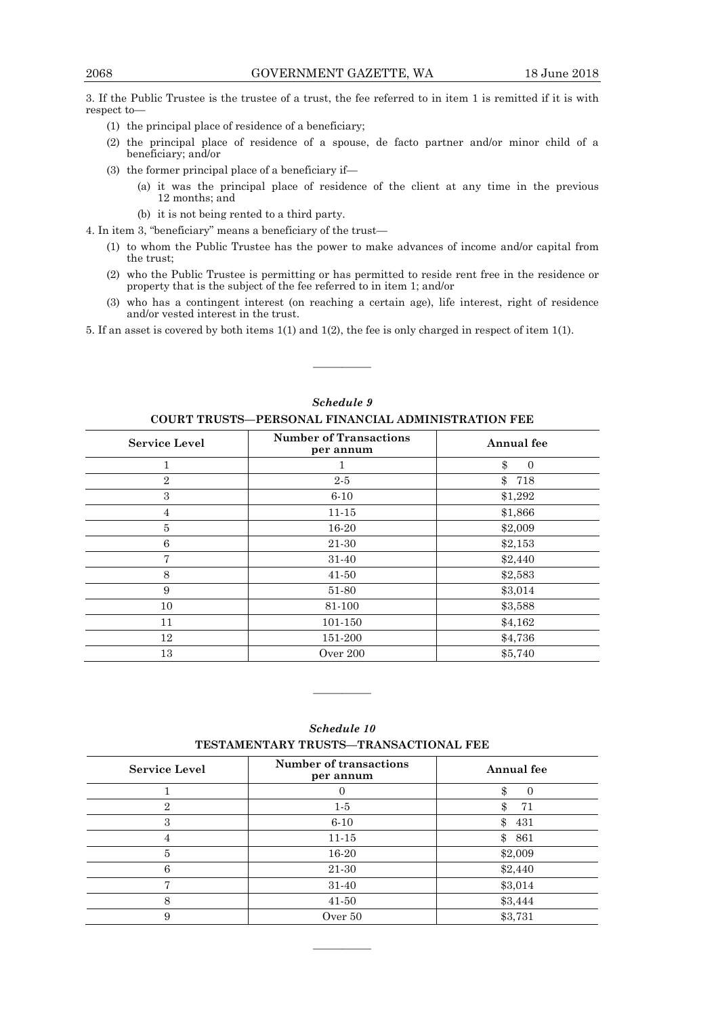3. If the Public Trustee is the trustee of a trust, the fee referred to in item 1 is remitted if it is with respect to—

- (1) the principal place of residence of a beneficiary;
- $(2)$  the principal place of residence of a spouse, de facto partner and/or minor child of a beneficiary; and/or
- (3) the former principal place of a beneficiary if—
	- (a) it was the principal place of residence of the client at any time in the previous 12 months; and
	- (b) it is not being rented to a third party.

4. In item 3, "beneficiary" means a beneficiary of the trust—

- $(1)$  to whom the Public Trustee has the power to make advances of income and/or capital from the trust;
- $(2)$  who the Public Trustee is permitting or has permitted to reside rent free in the residence or property that is the subject of the fee referred to in item 1; and/or
- $(3)$  who has a contingent interest (on reaching a certain age), life interest, right of residence and/or vested interest in the trust.

5. If an asset is covered by both items 1(1) and 1(2), the fee is only charged in respect of item 1(1).

| <b>Service Level</b> | <b>Number of Transactions</b><br>per annum | <b>Annual</b> fee |
|----------------------|--------------------------------------------|-------------------|
|                      |                                            | \$<br>$\theta$    |
| $\overline{2}$       | $2-5$                                      | \$<br>718         |
| 3                    | $6 - 10$                                   | \$1,292           |
| 4                    | $11 - 15$                                  | \$1,866           |
| 5                    | 16-20                                      | \$2,009           |
| 6                    | 21-30                                      | \$2,153           |
| 7                    | 31-40                                      | \$2,440           |
| 8                    | 41-50                                      | \$2,583           |
| 9                    | 51-80                                      | \$3,014           |
| 10                   | 81-100                                     | \$3,588           |
| 11                   | 101-150                                    | \$4,162           |
| 12                   | 151-200                                    | \$4,736           |
| 13                   | Over 200                                   | \$5,740           |

*Schedule 9*  **COURT TRUSTS—PERSONAL FINANCIAL ADMINISTRATION FEE** 

————

| TESTAMENTAINT TINUSTS—TIVANSAUTIONALI PER |                                            |            |  |
|-------------------------------------------|--------------------------------------------|------------|--|
| <b>Service Level</b>                      | <b>Number of transactions</b><br>per annum | Annual fee |  |
|                                           |                                            |            |  |
| 2                                         | $1-5$                                      | 71         |  |
| 3                                         | $6 - 10$                                   | \$<br>431  |  |
|                                           | $11 - 15$                                  | 861<br>\$  |  |
| 5                                         | 16-20                                      | \$2,009    |  |
| 6                                         | 21-30                                      | \$2,440    |  |
|                                           | 31-40                                      | \$3,014    |  |
| 8                                         | 41-50                                      | \$3,444    |  |
| 9                                         | Over 50                                    | \$3,731    |  |

————

*Schedule 10*  **TESTAMENTARY TRUSTS—TRANSACTIONAL FEE**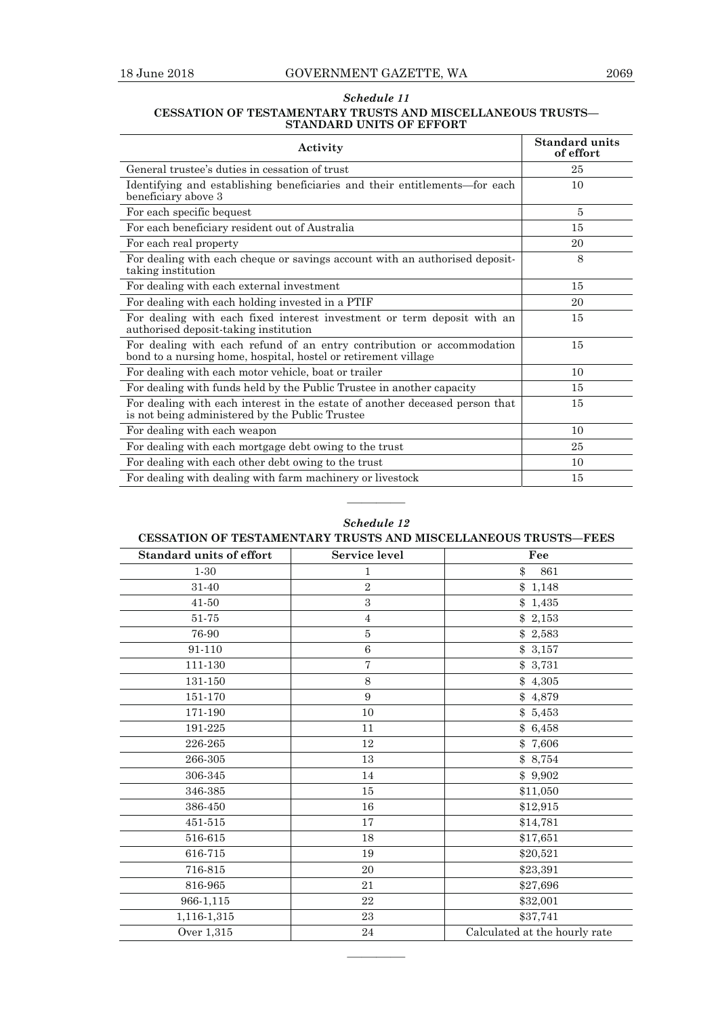#### *Schedule 11*  **CESSATION OF TESTAMENTARY TRUSTS AND MISCELLANEOUS TRUSTS— STANDARD UNITS OF EFFORT**

| Activity                                                                                                                                 | <b>Standard units</b><br>of effort |
|------------------------------------------------------------------------------------------------------------------------------------------|------------------------------------|
| General trustee's duties in cessation of trust                                                                                           | 25                                 |
| Identifying and establishing beneficiaries and their entitlements—for each<br>beneficiary above 3                                        | 10                                 |
| For each specific bequest                                                                                                                | $\overline{5}$                     |
| For each beneficiary resident out of Australia                                                                                           | 15                                 |
| For each real property                                                                                                                   | 20                                 |
| For dealing with each cheque or savings account with an authorised deposit-<br>taking institution                                        | 8                                  |
| For dealing with each external investment                                                                                                | 15                                 |
| For dealing with each holding invested in a PTIF                                                                                         | 20                                 |
| For dealing with each fixed interest investment or term deposit with an<br>authorised deposit-taking institution                         | 15                                 |
| For dealing with each refund of an entry contribution or accommodation<br>bond to a nursing home, hospital, hostel or retirement village | 15                                 |
| For dealing with each motor vehicle, boat or trailer                                                                                     | 10                                 |
| For dealing with funds held by the Public Trustee in another capacity                                                                    | 15                                 |
| For dealing with each interest in the estate of another deceased person that<br>is not being administered by the Public Trustee          | 15                                 |
| For dealing with each weapon                                                                                                             | 10                                 |
| For dealing with each mortgage debt owing to the trust                                                                                   | 25                                 |
| For dealing with each other debt owing to the trust                                                                                      | 10                                 |
| For dealing with dealing with farm machinery or livestock                                                                                | 15                                 |

| <b>Standard units of effort</b> | Service level    | Fee                           |
|---------------------------------|------------------|-------------------------------|
| $1 - 30$                        | 1                | \$<br>861                     |
| 31-40                           | $\overline{2}$   | \$1,148                       |
| $41 - 50$                       | 3                | \$1,435                       |
| 51-75                           | $\overline{4}$   | \$2,153                       |
| 76-90                           | $\bf 5$          | \$2,583                       |
| 91-110                          | $\boldsymbol{6}$ | \$3,157                       |
| 111-130                         | $\overline{7}$   | \$3,731                       |
| 131-150                         | 8                | \$4,305                       |
| 151-170                         | $\boldsymbol{9}$ | \$4,879                       |
| 171-190                         | 10               | \$5,453                       |
| 191-225                         | 11               | \$6,458                       |
| 226-265                         | 12               | \$7,606                       |
| 266-305                         | 13               | \$8,754                       |
| 306-345                         | 14               | \$9,902                       |
| 346-385                         | 15               | \$11,050                      |
| 386-450                         | 16               | \$12,915                      |
| 451-515                         | 17               | \$14,781                      |
| 516-615                         | 18               | \$17,651                      |
| 616-715                         | 19               | \$20,521                      |
| 716-815                         | 20               | \$23,391                      |
| 816-965                         | 21               | \$27,696                      |
| 966-1,115                       | 22               | \$32,001                      |
| 1,116-1,315                     | 23               | \$37,741                      |
| Over 1,315                      | 24               | Calculated at the hourly rate |

————

#### *Schedule 12*  **CESSATION OF TESTAMENTARY TRUSTS AND MISCELLANEOUS TRUSTS—FEES**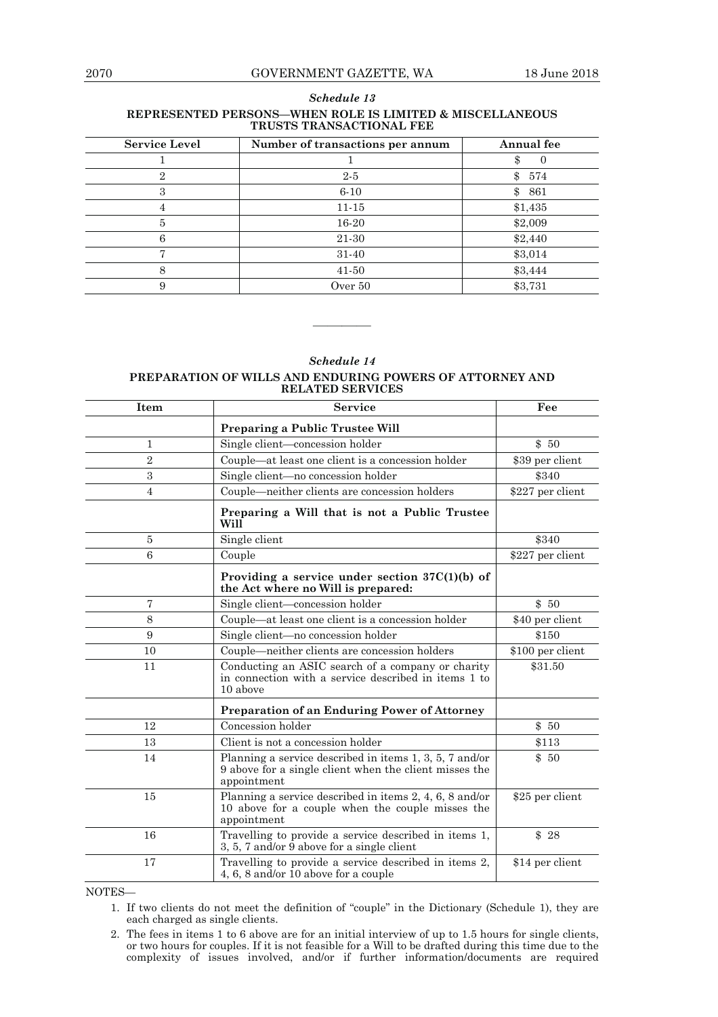—<br>—

-

 $\overline{\phantom{0}}$ 

 $\overline{ }$ 

| REPRESENTED PERSONS-WHEN ROLE IS LIMITED & MISCELLANEOUS<br>TRUSTS TRANSACTIONAL FEE |                                  |                       |
|--------------------------------------------------------------------------------------|----------------------------------|-----------------------|
| <b>Service Level</b>                                                                 | Number of transactions per annum | Annual fee            |
|                                                                                      |                                  |                       |
|                                                                                      | $2 - 5$                          | 574<br>\$             |
|                                                                                      | $6 - 10$                         | 861<br>$\mathbb{S}^-$ |
|                                                                                      | $11 - 15$                        | \$1,435               |
| 5                                                                                    | 16-20                            | \$2,009               |
|                                                                                      | 21-30                            | \$2,440               |
|                                                                                      | 31-40                            | \$3,014               |
|                                                                                      | 41-50                            | \$3,444               |

# *Schedule 13*

#### *Schedule 14*

9 Over 50 \$3,731

#### **PREPARATION OF WILLS AND ENDURING POWERS OF ATTORNEY AND RELATED SERVICES**

————

| Item             | <b>Service</b>                                                                                                                   | Fee              |
|------------------|----------------------------------------------------------------------------------------------------------------------------------|------------------|
|                  | <b>Preparing a Public Trustee Will</b>                                                                                           |                  |
| $\mathbf{1}$     | Single client—concession holder                                                                                                  | \$50             |
| $\overline{2}$   | Couple-at least one client is a concession holder                                                                                | \$39 per client  |
| 3                | Single client-no concession holder                                                                                               | \$340            |
| $\overline{4}$   | Couple—neither clients are concession holders                                                                                    | \$227 per client |
|                  | Preparing a Will that is not a Public Trustee<br>Will                                                                            |                  |
| $\overline{5}$   | Single client                                                                                                                    | \$340            |
| $\boldsymbol{6}$ | Couple                                                                                                                           | \$227 per client |
|                  | Providing a service under section $37C(1)(b)$ of<br>the Act where no Will is prepared:                                           |                  |
| $\overline{7}$   | Single client—concession holder                                                                                                  | \$50             |
| 8                | Couple—at least one client is a concession holder                                                                                | \$40 per client  |
| 9                | Single client—no concession holder                                                                                               | \$150            |
| 10               | Couple—neither clients are concession holders                                                                                    | \$100 per client |
| 11               | Conducting an ASIC search of a company or charity<br>in connection with a service described in items 1 to<br>10 above            | \$31.50          |
|                  | <b>Preparation of an Enduring Power of Attorney</b>                                                                              |                  |
| 12               | Concession holder                                                                                                                | \$50             |
| 13               | Client is not a concession holder                                                                                                | \$113            |
| 14               | Planning a service described in items 1, 3, 5, 7 and/or<br>9 above for a single client when the client misses the<br>appointment | \$50             |
| 15               | Planning a service described in items 2, 4, 6, 8 and/or<br>10 above for a couple when the couple misses the<br>appointment       | \$25 per client  |
| 16               | Travelling to provide a service described in items 1,<br>3, 5, 7 and/or $\overline{9}$ above for a single client                 | \$28             |
| 17               | Travelling to provide a service described in items 2,<br>4, 6, 8 and/or 10 above for a couple                                    | \$14 per client  |

NOTES—

- 1. If two clients do not meet the definition of "couple" in the Dictionary (Schedule 1), they are each charged as single clients.
- 2. The fees in items 1 to 6 above are for an initial interview of up to 1.5 hours for single clients, or two hours for couples. If it is not feasible for a Will to be drafted during this time due to the complexity of issues involved, and/or if further information/documents are required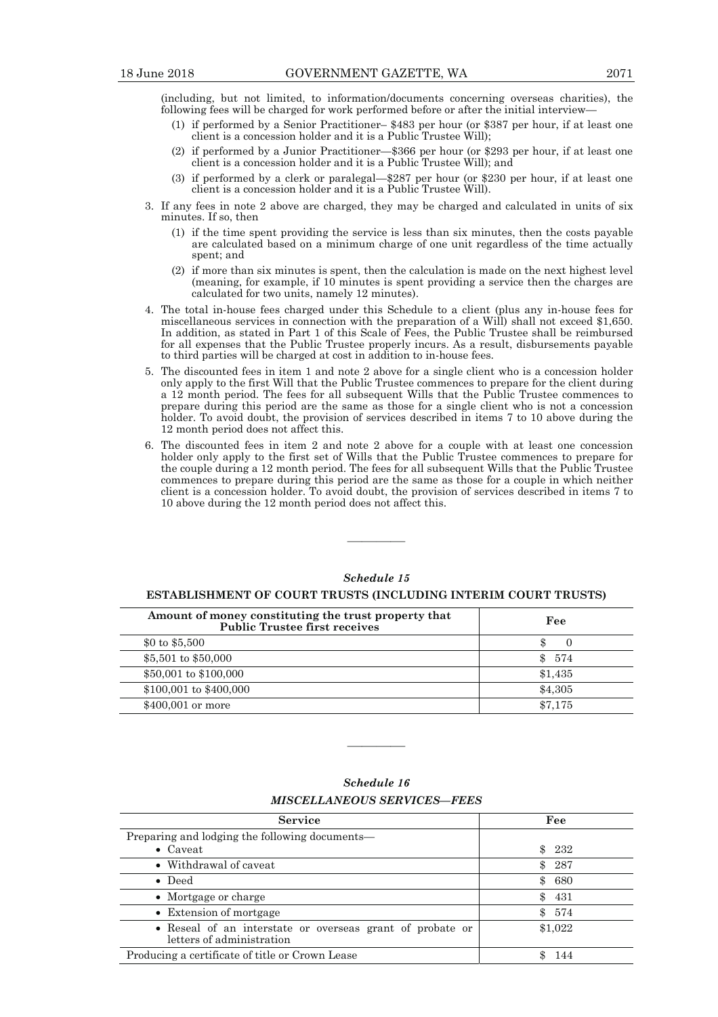(including, but not limited, to information/documents concerning overseas charities), the following fees will be charged for work performed before or after the initial interview—

- (1) if performed by a Senior Practitioner– \$483 per hour (or \$387 per hour, if at least one client is a concession holder and it is a Public Trustee Will);
- (2) if performed by a Junior Practitioner— $\$366$  per hour (or  $\$293$  per hour, if at least one client is a concession holder and it is a Public Trustee Will); and
- (3) if performed by a clerk or paralegal— $$287$  per hour (or  $$230$  per hour, if at least one client is a concession holder and it is a Public Trustee Will).
- 3. If any fees in note 2 above are charged, they may be charged and calculated in units of six minutes. If so, then
	- $(1)$  if the time spent providing the service is less than six minutes, then the costs payable are calculated based on a minimum charge of one unit regardless of the time actually spent; and
	- $(2)$  if more than six minutes is spent, then the calculation is made on the next highest level (meaning, for example, if 10 minutes is spent providing a service then the charges are calculated for two units, namely 12 minutes).
- 4. The total in-house fees charged under this Schedule to a client (plus any in-house fees for miscellaneous services in connection with the preparation of a Will) shall not exceed \$1,650. In addition, as stated in Part 1 of this Scale of Fees, the Public Trustee shall be reimbursed for all expenses that the Public Trustee properly incurs. As a result, disbursements payable to third parties will be charged at cost in addition to in-house fees.
- 5. The discounted fees in item 1 and note 2 above for a single client who is a concession holder only apply to the first Will that the Public Trustee commences to prepare for the client during a 12 month period. The fees for all subsequent Wills that the Public Trustee commences to prepare during this period are the same as those for a single client who is not a concession holder. To avoid doubt, the provision of services described in items 7 to 10 above during the 12 month period does not affect this.
- 6. The discounted fees in item 2 and note 2 above for a couple with at least one concession holder only apply to the first set of Wills that the Public Trustee commences to prepare for the couple during a 12 month period. The fees for all subsequent Wills that the Public Trustee commences to prepare during this period are the same as those for a couple in which neither client is a concession holder. To avoid doubt, the provision of services described in items 7 to 10 above during the 12 month period does not affect this.

#### *Schedule 15*

————

#### **ESTABLISHMENT OF COURT TRUSTS (INCLUDING INTERIM COURT TRUSTS)**

| Amount of money constituting the trust property that<br><b>Public Trustee first receives</b> | Fee        |
|----------------------------------------------------------------------------------------------|------------|
| \$0 to \$5,500                                                                               |            |
| \$5,501 to \$50,000                                                                          | 574<br>\$. |
| \$50,001 to \$100,000                                                                        | \$1,435    |
| $$100,001$ to $$400,000$                                                                     | \$4,305    |
| \$400,001 or more                                                                            | \$7.175    |

| Schedule 16                        |
|------------------------------------|
| <i>MISCELLANEOUS SERVICES—FEES</i> |

| <b>Service</b>                                                                         | Fee                 |
|----------------------------------------------------------------------------------------|---------------------|
| Preparing and lodging the following documents—                                         |                     |
| • $Caveat$                                                                             | \$232               |
| • Withdrawal of caveat                                                                 | \$287               |
| $\bullet$ Deed                                                                         | \$680               |
| • Mortgage or charge                                                                   | $\mathbb{S}$<br>431 |
| • Extension of mortgage                                                                | \$574               |
| • Reseal of an interstate or overseas grant of probate or<br>letters of administration | \$1,022             |
| Producing a certificate of title or Crown Lease                                        | -144                |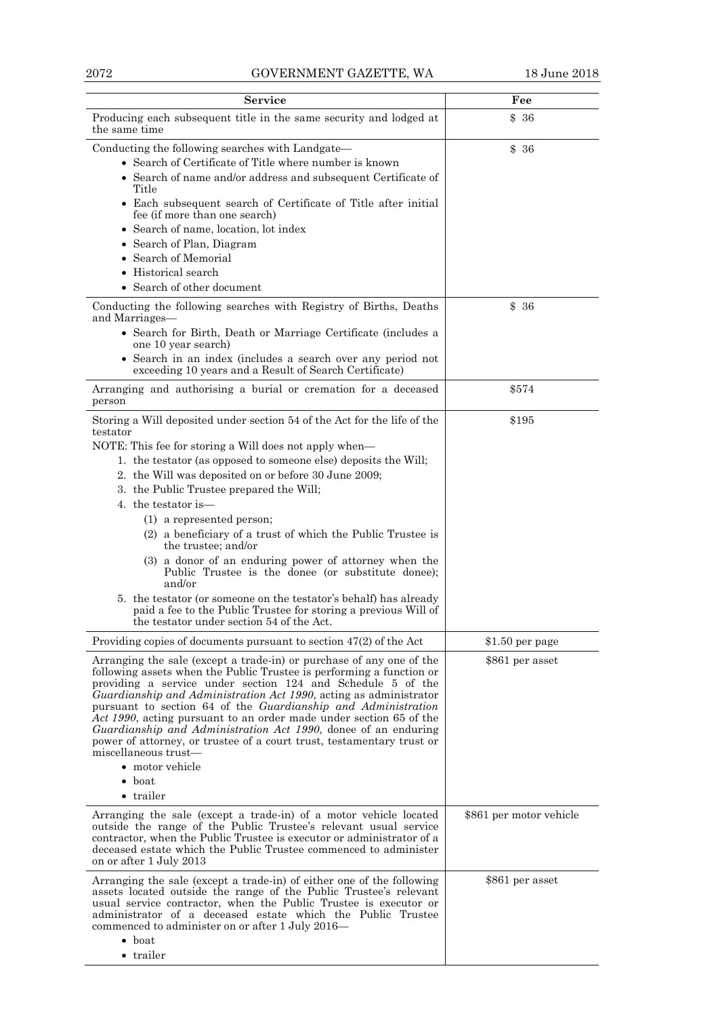| <b>Service</b>                                                                                                                                                                                                                                                                                                                                                                                                                                                                                                                                                                                                                                                                                                                                                                | Fee                     |
|-------------------------------------------------------------------------------------------------------------------------------------------------------------------------------------------------------------------------------------------------------------------------------------------------------------------------------------------------------------------------------------------------------------------------------------------------------------------------------------------------------------------------------------------------------------------------------------------------------------------------------------------------------------------------------------------------------------------------------------------------------------------------------|-------------------------|
| Producing each subsequent title in the same security and lodged at<br>the same time                                                                                                                                                                                                                                                                                                                                                                                                                                                                                                                                                                                                                                                                                           | \$36                    |
| Conducting the following searches with Landgate—<br>• Search of Certificate of Title where number is known<br>• Search of name and/or address and subsequent Certificate of<br>Title<br>• Each subsequent search of Certificate of Title after initial<br>fee (if more than one search)<br>• Search of name, location, lot index<br>• Search of Plan, Diagram<br>• Search of Memorial<br>• Historical search<br>• Search of other document                                                                                                                                                                                                                                                                                                                                    | \$36                    |
| Conducting the following searches with Registry of Births, Deaths<br>and Marriages-<br>• Search for Birth, Death or Marriage Certificate (includes a<br>one 10 year search)<br>• Search in an index (includes a search over any period not<br>exceeding 10 years and a Result of Search Certificate)                                                                                                                                                                                                                                                                                                                                                                                                                                                                          | \$36                    |
| Arranging and authorising a burial or cremation for a deceased<br>person                                                                                                                                                                                                                                                                                                                                                                                                                                                                                                                                                                                                                                                                                                      | \$574                   |
| Storing a Will deposited under section 54 of the Act for the life of the<br>testator<br>NOTE: This fee for storing a Will does not apply when—<br>1. the testator (as opposed to someone else) deposits the Will;<br>2. the Will was deposited on or before 30 June 2009;<br>3. the Public Trustee prepared the Will;<br>4. the testator is—<br>(1) a represented person;<br>(2) a beneficiary of a trust of which the Public Trustee is<br>the trustee; and/or<br>(3) a donor of an enduring power of attorney when the<br>Public Trustee is the donee (or substitute donee);<br>and/or<br>5. the testator (or someone on the testator's behalf) has already<br>paid a fee to the Public Trustee for storing a previous Will of<br>the testator under section 54 of the Act. | \$195                   |
| Providing copies of documents pursuant to section 47(2) of the Act                                                                                                                                                                                                                                                                                                                                                                                                                                                                                                                                                                                                                                                                                                            | $$1.50$ per page        |
| Arranging the sale (except a trade-in) or purchase of any one of the<br>following assets when the Public Trustee is performing a function or<br>providing a service under section 124 and Schedule 5 of the<br>Guardianship and Administration Act 1990, acting as administrator<br>pursuant to section 64 of the Guardianship and Administration<br>Act 1990, acting pursuant to an order made under section 65 of the<br>Guardianship and Administration Act 1990, donee of an enduring<br>power of attorney, or trustee of a court trust, testamentary trust or<br>miscellaneous trust-<br>• motor vehicle<br>$\bullet$ boat<br>• trailer                                                                                                                                  | \$861 per asset         |
| Arranging the sale (except a trade-in) of a motor vehicle located<br>outside the range of the Public Trustee's relevant usual service<br>contractor, when the Public Trustee is executor or administrator of a<br>deceased estate which the Public Trustee commenced to administer<br>on or after 1 July 2013                                                                                                                                                                                                                                                                                                                                                                                                                                                                 | \$861 per motor vehicle |
| Arranging the sale (except a trade-in) of either one of the following<br>assets located outside the range of the Public Trustee's relevant<br>usual service contractor, when the Public Trustee is executor or<br>administrator of a deceased estate which the Public Trustee<br>commenced to administer on or after 1 July 2016—<br>$\bullet$ boat<br>• trailer                                                                                                                                                                                                                                                                                                                                                                                                              | \$861 per asset         |